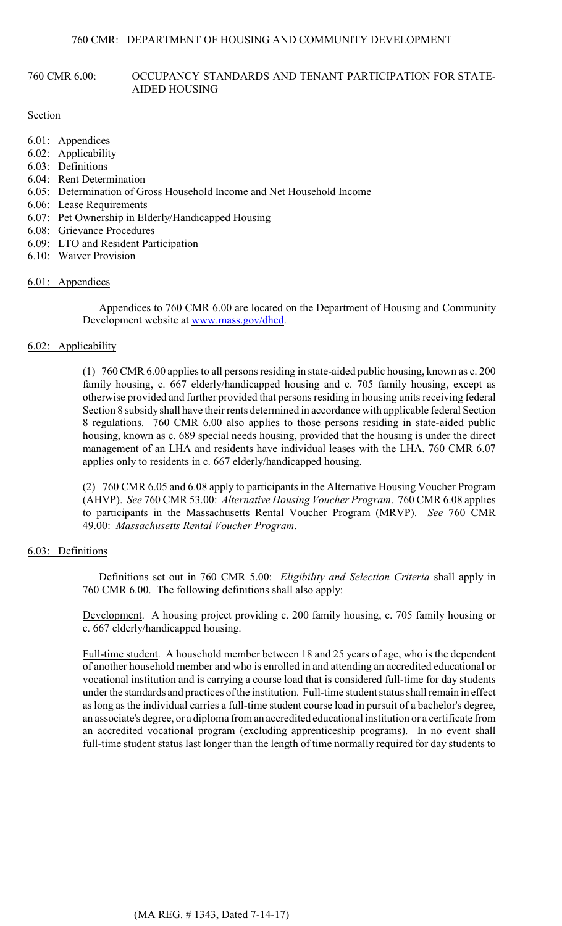## 760 CMR 6.00: OCCUPANCY STANDARDS AND TENANT PARTICIPATION FOR STATE-AIDED HOUSING

### Section

- 6.01: Appendices
- 6.02: Applicability
- 6.03: Definitions
- 6.04: Rent Determination
- 6.05: Determination of Gross Household Income and Net Household Income
- 6.06: Lease Requirements
- 6.07: Pet Ownership in Elderly/Handicapped Housing
- 6.08: Grievance Procedures
- 6.09: LTO and Resident Participation
- 6.10: Waiver Provision

## 6.01: Appendices

Appendices to 760 CMR 6.00 are located on the Department of Housing and Community Development website at [www.mass.gov/dhcd](http://www.mass.gov/dhcd).

## 6.02: Applicability

(1) 760 CMR 6.00 applies to all persons residing in state-aided public housing, known as c. 200 family housing, c. 667 elderly/handicapped housing and c. 705 family housing, except as otherwise provided and further provided that persons residing in housing units receiving federal Section 8 subsidyshall have their rents determined in accordance with applicable federal Section 8 regulations. 760 CMR 6.00 also applies to those persons residing in state-aided public housing, known as c. 689 special needs housing, provided that the housing is under the direct management of an LHA and residents have individual leases with the LHA. 760 CMR 6.07 applies only to residents in c. 667 elderly/handicapped housing.

(2) 760 CMR 6.05 and 6.08 apply to participants in the Alternative Housing Voucher Program (AHVP). *See* 760 CMR 53.00: *Alternative Housing Voucher Program*. 760 CMR 6.08 applies to participants in the Massachusetts Rental Voucher Program (MRVP). *See* 760 CMR 49.00: *Massachusetts Rental Voucher Program*.

# 6.03: Definitions

Definitions set out in 760 CMR 5.00: *Eligibility and Selection Criteria* shall apply in 760 CMR 6.00. The following definitions shall also apply:

Development. A housing project providing c. 200 family housing, c. 705 family housing or c. 667 elderly/handicapped housing.

Full-time student. A household member between 18 and 25 years of age, who is the dependent of another household member and who is enrolled in and attending an accredited educational or vocational institution and is carrying a course load that is considered full-time for day students under the standards and practices of the institution. Full-time student status shall remain in effect as long as the individual carries a full-time student course load in pursuit of a bachelor's degree, an associate's degree, or a diploma from an accredited educational institution or a certificate from an accredited vocational program (excluding apprenticeship programs). In no event shall full-time student status last longer than the length of time normally required for day students to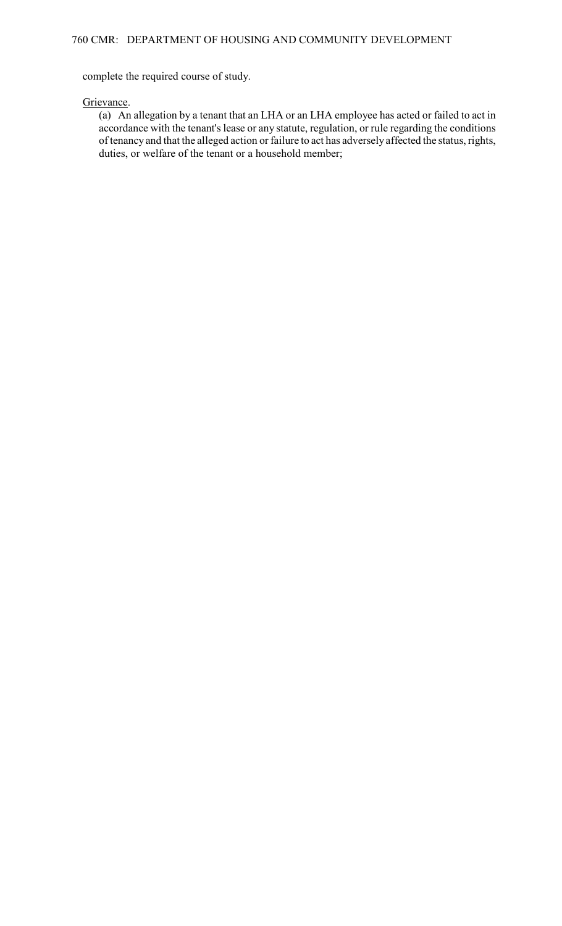complete the required course of study.

## Grievance.

(a) An allegation by a tenant that an LHA or an LHA employee has acted or failed to act in accordance with the tenant's lease or any statute, regulation, or rule regarding the conditions of tenancy and that the alleged action or failure to act has adversely affected the status, rights, duties, or welfare of the tenant or a household member;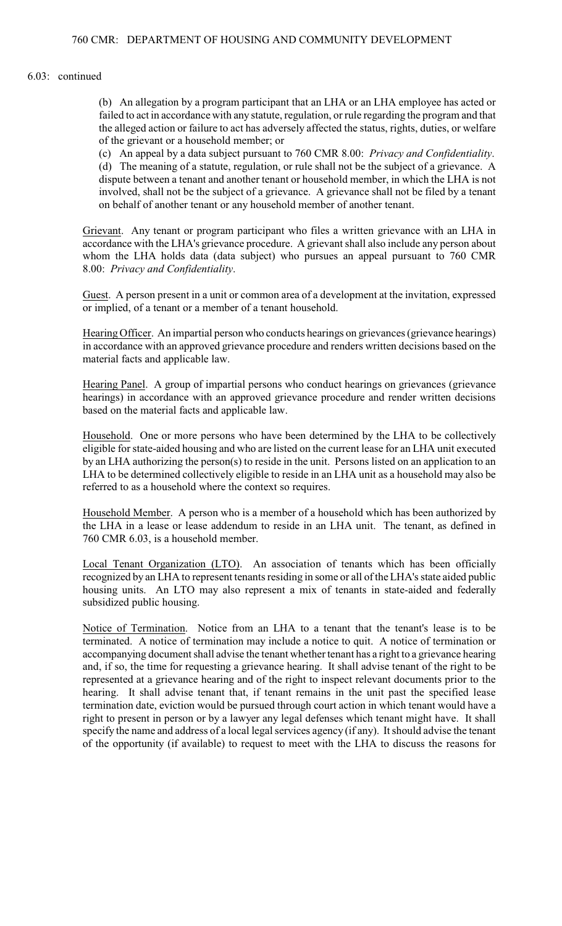#### 6.03: continued

(b) An allegation by a program participant that an LHA or an LHA employee has acted or failed to act in accordance with any statute, regulation, or rule regarding the program and that the alleged action or failure to act has adversely affected the status, rights, duties, or welfare of the grievant or a household member; or

(c) An appeal by a data subject pursuant to 760 CMR 8.00: *Privacy and Confidentiality*.

(d) The meaning of a statute, regulation, or rule shall not be the subject of a grievance. A dispute between a tenant and another tenant or household member, in which the LHA is not involved, shall not be the subject of a grievance. A grievance shall not be filed by a tenant on behalf of another tenant or any household member of another tenant.

Grievant. Any tenant or program participant who files a written grievance with an LHA in accordance with the LHA's grievance procedure. A grievant shall also include any person about whom the LHA holds data (data subject) who pursues an appeal pursuant to 760 CMR 8.00: *Privacy and Confidentiality*.

Guest. A person present in a unit or common area of a development at the invitation, expressed or implied, of a tenant or a member of a tenant household.

HearingOfficer. An impartial person who conducts hearings on grievances (grievance hearings) in accordance with an approved grievance procedure and renders written decisions based on the material facts and applicable law.

Hearing Panel. A group of impartial persons who conduct hearings on grievances (grievance hearings) in accordance with an approved grievance procedure and render written decisions based on the material facts and applicable law.

Household. One or more persons who have been determined by the LHA to be collectively eligible for state-aided housing and who are listed on the current lease for an LHA unit executed by an LHA authorizing the person(s) to reside in the unit. Persons listed on an application to an LHA to be determined collectively eligible to reside in an LHA unit as a household may also be referred to as a household where the context so requires.

Household Member. A person who is a member of a household which has been authorized by the LHA in a lease or lease addendum to reside in an LHA unit. The tenant, as defined in 760 CMR 6.03, is a household member.

Local Tenant Organization (LTO). An association of tenants which has been officially recognized by an LHA to represent tenants residing in some or all of theLHA's state aided public housing units. An LTO may also represent a mix of tenants in state-aided and federally subsidized public housing.

Notice of Termination. Notice from an LHA to a tenant that the tenant's lease is to be terminated. A notice of termination may include a notice to quit. A notice of termination or accompanying document shall advise the tenant whether tenant has a right to a grievance hearing and, if so, the time for requesting a grievance hearing. It shall advise tenant of the right to be represented at a grievance hearing and of the right to inspect relevant documents prior to the hearing. It shall advise tenant that, if tenant remains in the unit past the specified lease termination date, eviction would be pursued through court action in which tenant would have a right to present in person or by a lawyer any legal defenses which tenant might have. It shall specify the name and address of a local legal services agency (if any). It should advise the tenant of the opportunity (if available) to request to meet with the LHA to discuss the reasons for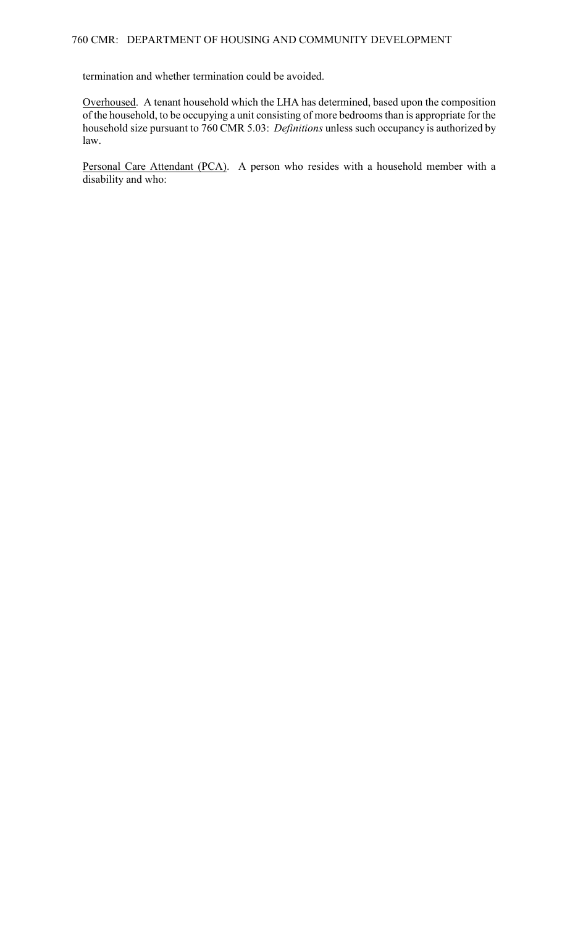termination and whether termination could be avoided.

Overhoused. A tenant household which the LHA has determined, based upon the composition of the household, to be occupying a unit consisting of more bedrooms than is appropriate for the household size pursuant to 760 CMR 5.03: *Definitions* unless such occupancy is authorized by law.

Personal Care Attendant (PCA). A person who resides with a household member with a disability and who: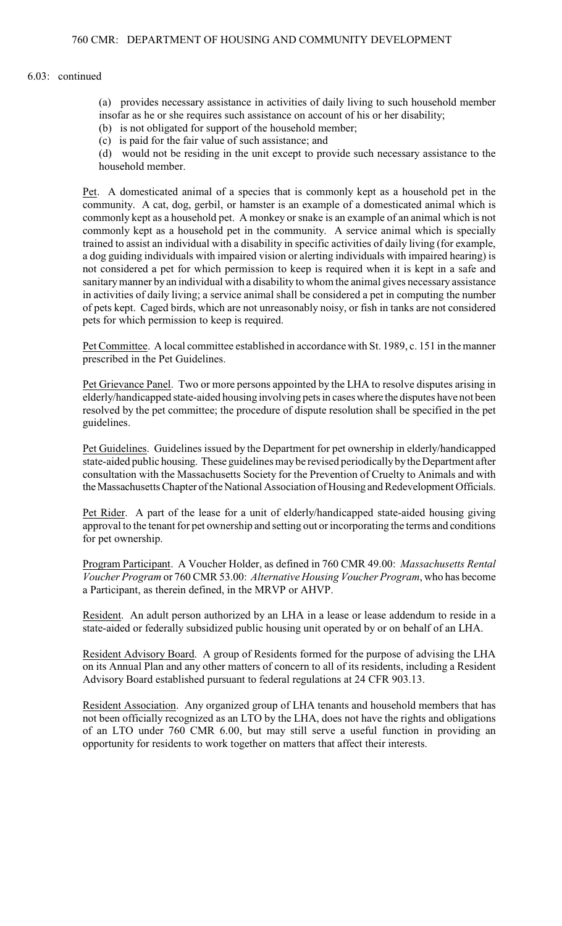#### 6.03: continued

- (a) provides necessary assistance in activities of daily living to such household member
- insofar as he or she requires such assistance on account of his or her disability;
- (b) is not obligated for support of the household member;
- (c) is paid for the fair value of such assistance; and

(d) would not be residing in the unit except to provide such necessary assistance to the household member.

Pet. A domesticated animal of a species that is commonly kept as a household pet in the community. A cat, dog, gerbil, or hamster is an example of a domesticated animal which is commonly kept as a household pet. A monkey or snake is an example of an animal which is not commonly kept as a household pet in the community. A service animal which is specially trained to assist an individual with a disability in specific activities of daily living (for example, a dog guiding individuals with impaired vision or alerting individuals with impaired hearing) is not considered a pet for which permission to keep is required when it is kept in a safe and sanitary manner by an individual with a disability to whom the animal gives necessary assistance in activities of daily living; a service animal shall be considered a pet in computing the number of pets kept. Caged birds, which are not unreasonably noisy, or fish in tanks are not considered pets for which permission to keep is required.

Pet Committee. A local committee established in accordance with St. 1989, c. 151 in the manner prescribed in the Pet Guidelines.

Pet Grievance Panel. Two or more persons appointed by the LHA to resolve disputes arising in elderly/handicapped state-aided housing involving pets in cases where the disputes have not been resolved by the pet committee; the procedure of dispute resolution shall be specified in the pet guidelines.

Pet Guidelines. Guidelines issued by the Department for pet ownership in elderly/handicapped state-aided public housing. These guidelines may be revised periodically by the Department after consultation with the Massachusetts Society for the Prevention of Cruelty to Animals and with the Massachusetts Chapter of the National Association of Housing and Redevelopment Officials.

Pet Rider. A part of the lease for a unit of elderly/handicapped state-aided housing giving approval to the tenant for pet ownership and setting out or incorporating the terms and conditions for pet ownership.

Program Participant. A Voucher Holder, as defined in 760 CMR 49.00: *Massachusetts Rental Voucher Program* or 760 CMR 53.00: *Alternative Housing Voucher Program*, who has become a Participant, as therein defined, in the MRVP or AHVP.

Resident. An adult person authorized by an LHA in a lease or lease addendum to reside in a state-aided or federally subsidized public housing unit operated by or on behalf of an LHA.

Resident Advisory Board. A group of Residents formed for the purpose of advising the LHA on its Annual Plan and any other matters of concern to all of its residents, including a Resident Advisory Board established pursuant to federal regulations at 24 CFR 903.13.

Resident Association. Any organized group of LHA tenants and household members that has not been officially recognized as an LTO by the LHA, does not have the rights and obligations of an LTO under 760 CMR 6.00, but may still serve a useful function in providing an opportunity for residents to work together on matters that affect their interests.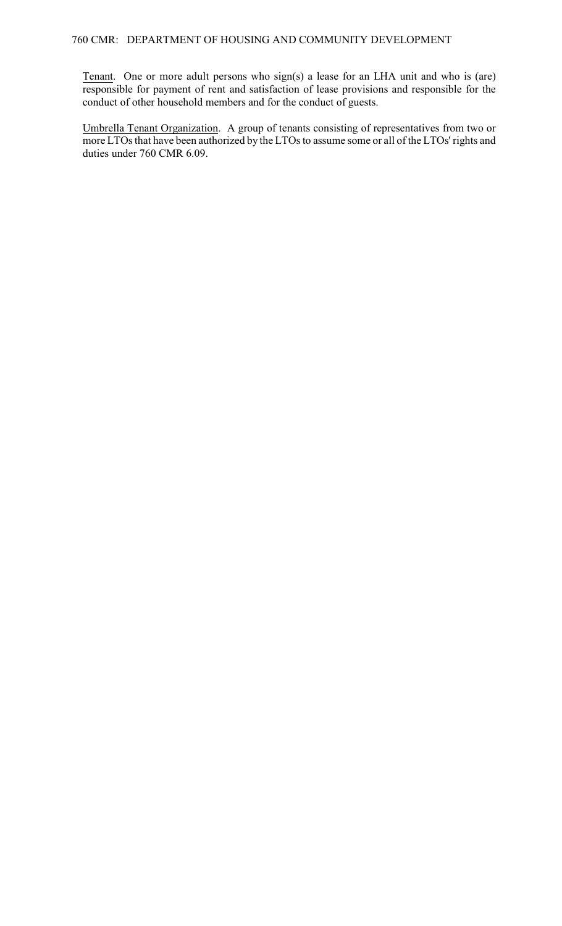Tenant. One or more adult persons who sign(s) a lease for an LHA unit and who is (are) responsible for payment of rent and satisfaction of lease provisions and responsible for the conduct of other household members and for the conduct of guests.

Umbrella Tenant Organization. A group of tenants consisting of representatives from two or more LTOs that have been authorized by the LTOs to assume some or all of the LTOs' rights and duties under 760 CMR 6.09.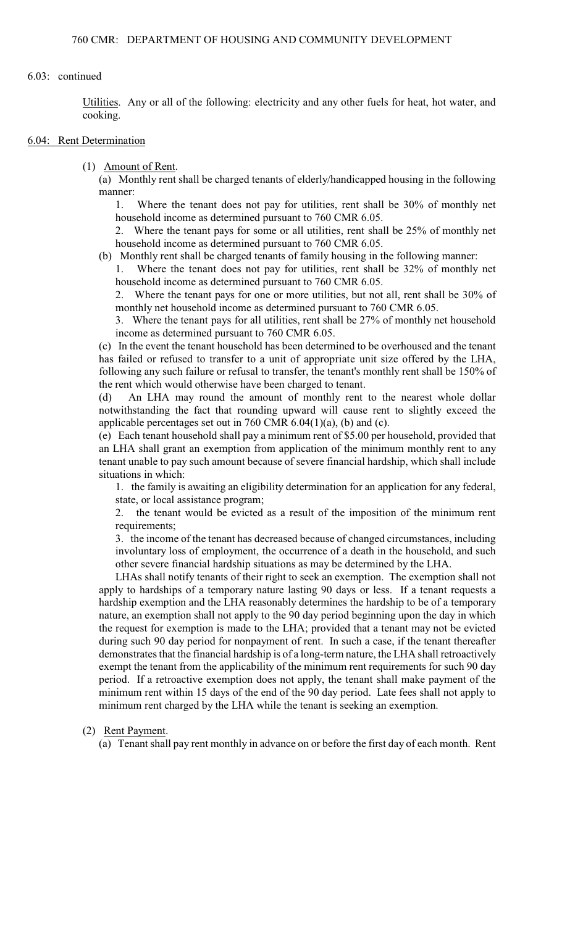### 6.03: continued

Utilities. Any or all of the following: electricity and any other fuels for heat, hot water, and cooking.

#### 6.04: Rent Determination

(1) Amount of Rent.

(a) Monthly rent shall be charged tenants of elderly/handicapped housing in the following manner:

1. Where the tenant does not pay for utilities, rent shall be 30% of monthly net household income as determined pursuant to 760 CMR 6.05.

2. Where the tenant pays for some or all utilities, rent shall be 25% of monthly net household income as determined pursuant to 760 CMR 6.05.

(b) Monthly rent shall be charged tenants of family housing in the following manner:

1. Where the tenant does not pay for utilities, rent shall be 32% of monthly net household income as determined pursuant to 760 CMR 6.05.

2. Where the tenant pays for one or more utilities, but not all, rent shall be 30% of monthly net household income as determined pursuant to 760 CMR 6.05.

3. Where the tenant pays for all utilities, rent shall be 27% of monthly net household income as determined pursuant to 760 CMR 6.05.

(c) In the event the tenant household has been determined to be overhoused and the tenant has failed or refused to transfer to a unit of appropriate unit size offered by the LHA, following any such failure or refusal to transfer, the tenant's monthly rent shall be 150% of the rent which would otherwise have been charged to tenant.

(d) An LHA may round the amount of monthly rent to the nearest whole dollar notwithstanding the fact that rounding upward will cause rent to slightly exceed the applicable percentages set out in 760 CMR  $6.04(1)(a)$ , (b) and (c).

(e) Each tenant household shall pay a minimum rent of \$5.00 per household, provided that an LHA shall grant an exemption from application of the minimum monthly rent to any tenant unable to pay such amount because of severe financial hardship, which shall include situations in which:

1. the family is awaiting an eligibility determination for an application for any federal, state, or local assistance program;

2. the tenant would be evicted as a result of the imposition of the minimum rent requirements;

3. the income of the tenant has decreased because of changed circumstances, including involuntary loss of employment, the occurrence of a death in the household, and such other severe financial hardship situations as may be determined by the LHA.

LHAs shall notify tenants of their right to seek an exemption. The exemption shall not apply to hardships of a temporary nature lasting 90 days or less. If a tenant requests a hardship exemption and the LHA reasonably determines the hardship to be of a temporary nature, an exemption shall not apply to the 90 day period beginning upon the day in which the request for exemption is made to the LHA; provided that a tenant may not be evicted during such 90 day period for nonpayment of rent. In such a case, if the tenant thereafter demonstrates that the financial hardship is of a long-term nature, the LHA shall retroactively exempt the tenant from the applicability of the minimum rent requirements for such 90 day period. If a retroactive exemption does not apply, the tenant shall make payment of the minimum rent within 15 days of the end of the 90 day period. Late fees shall not apply to minimum rent charged by the LHA while the tenant is seeking an exemption.

## (2) Rent Payment.

(a) Tenant shall pay rent monthly in advance on or before the first day of each month. Rent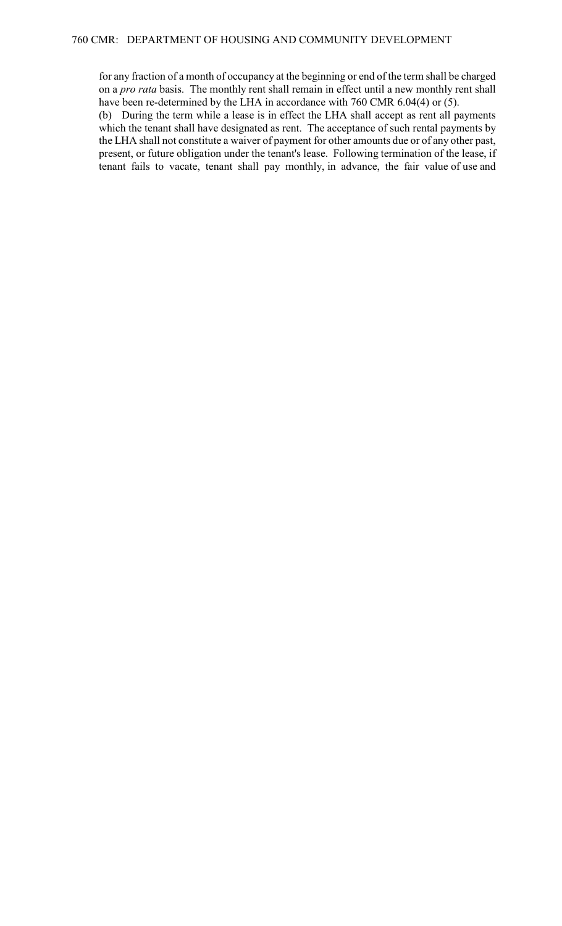for any fraction of a month of occupancy at the beginning or end of the term shall be charged on a *pro rata* basis. The monthly rent shall remain in effect until a new monthly rent shall have been re-determined by the LHA in accordance with 760 CMR 6.04(4) or (5).

(b) During the term while a lease is in effect the LHA shall accept as rent all payments which the tenant shall have designated as rent. The acceptance of such rental payments by the LHA shall not constitute a waiver of payment for other amounts due or of any other past, present, or future obligation under the tenant's lease. Following termination of the lease, if tenant fails to vacate, tenant shall pay monthly, in advance, the fair value of use and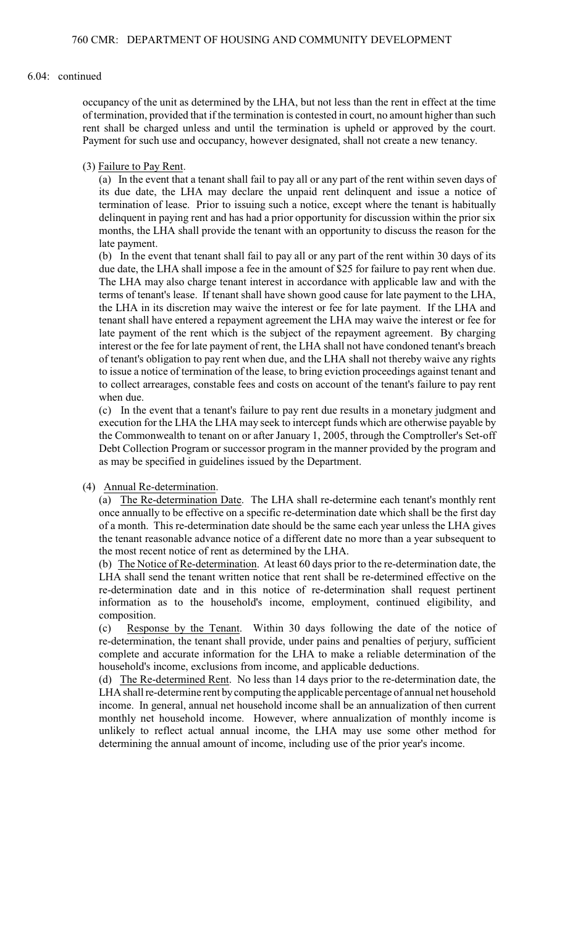### 6.04: continued

occupancy of the unit as determined by the LHA, but not less than the rent in effect at the time of termination, provided that if the termination is contested in court, no amount higher than such rent shall be charged unless and until the termination is upheld or approved by the court. Payment for such use and occupancy, however designated, shall not create a new tenancy.

### (3) Failure to Pay Rent.

(a) In the event that a tenant shall fail to pay all or any part of the rent within seven days of its due date, the LHA may declare the unpaid rent delinquent and issue a notice of termination of lease. Prior to issuing such a notice, except where the tenant is habitually delinquent in paying rent and has had a prior opportunity for discussion within the prior six months, the LHA shall provide the tenant with an opportunity to discuss the reason for the late payment.

(b) In the event that tenant shall fail to pay all or any part of the rent within 30 days of its due date, the LHA shall impose a fee in the amount of \$25 for failure to pay rent when due. The LHA may also charge tenant interest in accordance with applicable law and with the terms of tenant's lease. If tenant shall have shown good cause for late payment to the LHA, the LHA in its discretion may waive the interest or fee for late payment. If the LHA and tenant shall have entered a repayment agreement the LHA may waive the interest or fee for late payment of the rent which is the subject of the repayment agreement. By charging interest or the fee for late payment of rent, the LHA shall not have condoned tenant's breach of tenant's obligation to pay rent when due, and the LHA shall not thereby waive any rights to issue a notice of termination of the lease, to bring eviction proceedings against tenant and to collect arrearages, constable fees and costs on account of the tenant's failure to pay rent when due.

(c) In the event that a tenant's failure to pay rent due results in a monetary judgment and execution for the LHA the LHA may seek to intercept funds which are otherwise payable by the Commonwealth to tenant on or after January 1, 2005, through the Comptroller's Set-off Debt Collection Program or successor program in the manner provided by the program and as may be specified in guidelines issued by the Department.

#### (4) Annual Re-determination.

(a) The Re-determination Date. The LHA shall re-determine each tenant's monthly rent once annually to be effective on a specific re-determination date which shall be the first day of a month. This re-determination date should be the same each year unless the LHA gives the tenant reasonable advance notice of a different date no more than a year subsequent to the most recent notice of rent as determined by the LHA.

(b) The Notice of Re-determination. At least 60 days prior to the re-determination date, the LHA shall send the tenant written notice that rent shall be re-determined effective on the re-determination date and in this notice of re-determination shall request pertinent information as to the household's income, employment, continued eligibility, and composition.

(c) Response by the Tenant. Within 30 days following the date of the notice of re-determination, the tenant shall provide, under pains and penalties of perjury, sufficient complete and accurate information for the LHA to make a reliable determination of the household's income, exclusions from income, and applicable deductions.

(d) The Re-determined Rent. No less than 14 days prior to the re-determination date, the LHA shall re-determine rent by computing the applicable percentage of annual net household income. In general, annual net household income shall be an annualization of then current monthly net household income. However, where annualization of monthly income is unlikely to reflect actual annual income, the LHA may use some other method for determining the annual amount of income, including use of the prior year's income.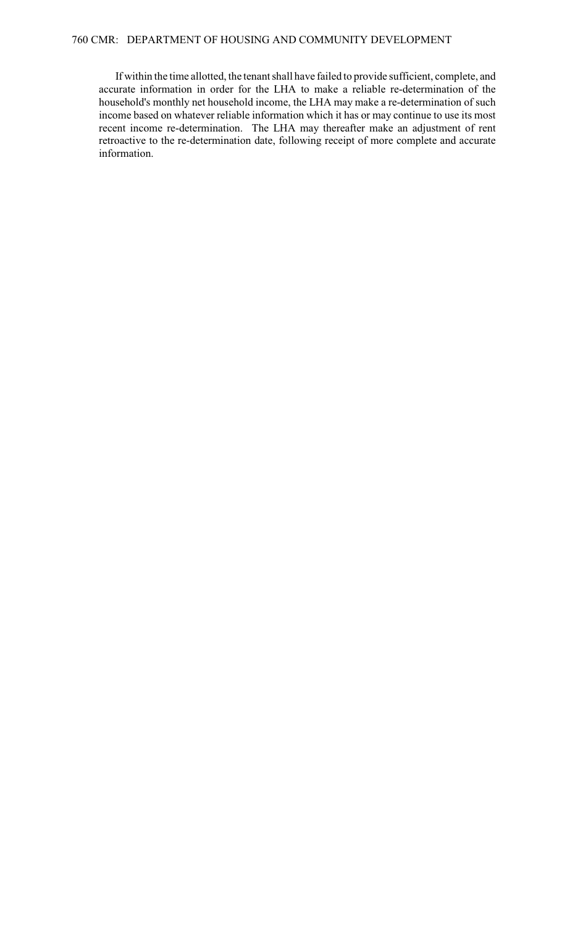If within the time allotted, the tenant shall have failed to provide sufficient, complete, and accurate information in order for the LHA to make a reliable re-determination of the household's monthly net household income, the LHA may make a re-determination of such income based on whatever reliable information which it has or may continue to use its most recent income re-determination. The LHA may thereafter make an adjustment of rent retroactive to the re-determination date, following receipt of more complete and accurate information.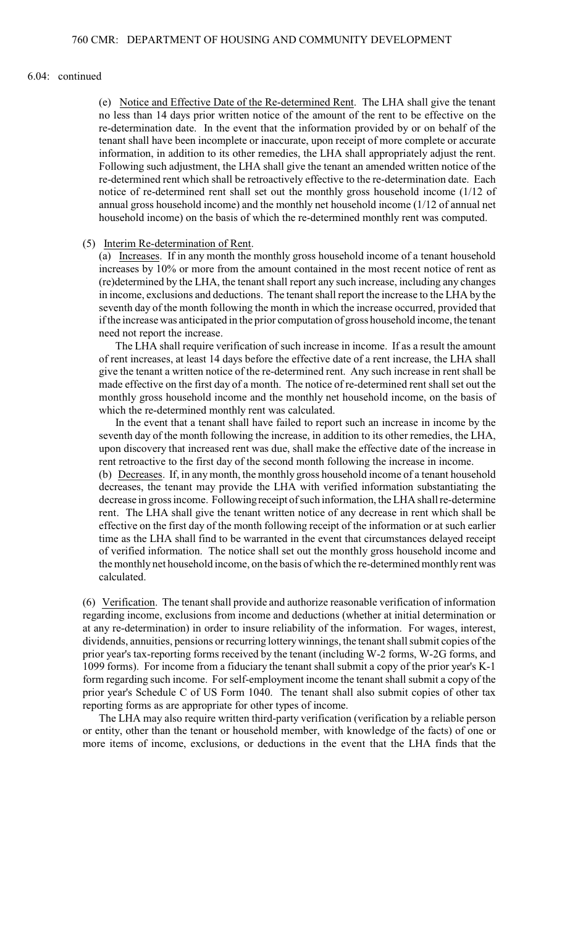#### 6.04: continued

(e) Notice and Effective Date of the Re-determined Rent. The LHA shall give the tenant no less than 14 days prior written notice of the amount of the rent to be effective on the re-determination date. In the event that the information provided by or on behalf of the tenant shall have been incomplete or inaccurate, upon receipt of more complete or accurate information, in addition to its other remedies, the LHA shall appropriately adjust the rent. Following such adjustment, the LHA shall give the tenant an amended written notice of the re-determined rent which shall be retroactively effective to the re-determination date. Each notice of re-determined rent shall set out the monthly gross household income (1/12 of annual gross household income) and the monthly net household income (1/12 of annual net household income) on the basis of which the re-determined monthly rent was computed.

### (5) Interim Re-determination of Rent.

(a) Increases. If in any month the monthly gross household income of a tenant household increases by 10% or more from the amount contained in the most recent notice of rent as (re)determined by the LHA, the tenant shall report any such increase, including any changes in income, exclusions and deductions. The tenant shall report the increase to the LHA by the seventh day of the month following the month in which the increase occurred, provided that if the increase was anticipated in the prior computation of gross household income, the tenant need not report the increase.

The LHA shall require verification of such increase in income. If as a result the amount of rent increases, at least 14 days before the effective date of a rent increase, the LHA shall give the tenant a written notice of the re-determined rent. Any such increase in rent shall be made effective on the first day of a month. The notice of re-determined rent shall set out the monthly gross household income and the monthly net household income, on the basis of which the re-determined monthly rent was calculated.

In the event that a tenant shall have failed to report such an increase in income by the seventh day of the month following the increase, in addition to its other remedies, the LHA, upon discovery that increased rent was due, shall make the effective date of the increase in rent retroactive to the first day of the second month following the increase in income.

(b) Decreases. If, in any month, the monthly gross household income of a tenant household decreases, the tenant may provide the LHA with verified information substantiating the decrease in gross income. Following receipt of such information, the LHA shall re-determine rent. The LHA shall give the tenant written notice of any decrease in rent which shall be effective on the first day of the month following receipt of the information or at such earlier time as the LHA shall find to be warranted in the event that circumstances delayed receipt of verified information. The notice shall set out the monthly gross household income and the monthly net household income, on the basis of which the re-determined monthly rent was calculated.

(6) Verification. The tenant shall provide and authorize reasonable verification of information regarding income, exclusions from income and deductions (whether at initial determination or at any re-determination) in order to insure reliability of the information. For wages, interest, dividends, annuities, pensions or recurring lotterywinnings, the tenant shall submit copies of the prior year's tax-reporting forms received by the tenant (including W-2 forms, W-2G forms, and 1099 forms). For income from a fiduciary the tenant shall submit a copy of the prior year's K-1 form regarding such income. For self-employment income the tenant shall submit a copy of the prior year's Schedule C of US Form 1040. The tenant shall also submit copies of other tax reporting forms as are appropriate for other types of income.

The LHA may also require written third-party verification (verification by a reliable person or entity, other than the tenant or household member, with knowledge of the facts) of one or more items of income, exclusions, or deductions in the event that the LHA finds that the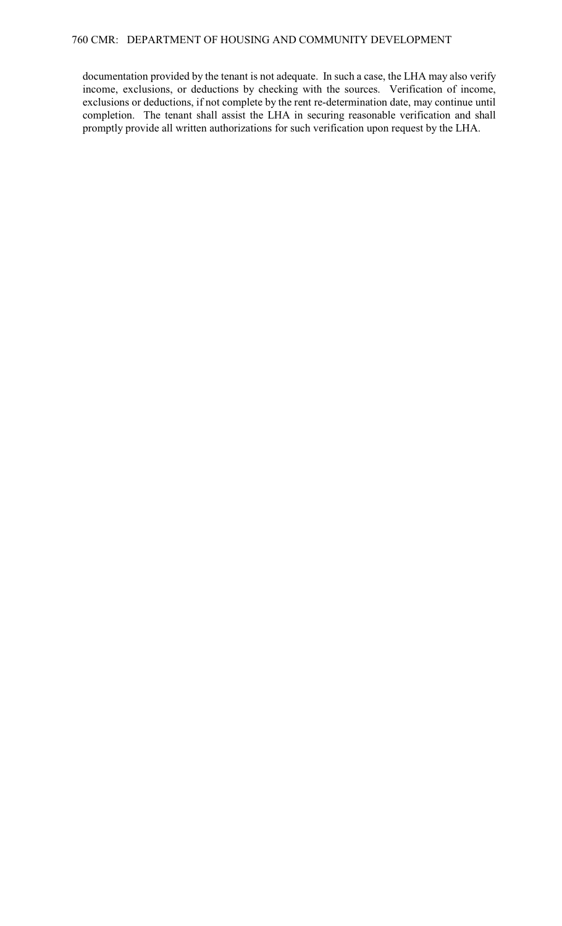documentation provided by the tenant is not adequate. In such a case, the LHA may also verify income, exclusions, or deductions by checking with the sources. Verification of income, exclusions or deductions, if not complete by the rent re-determination date, may continue until completion. The tenant shall assist the LHA in securing reasonable verification and shall promptly provide all written authorizations for such verification upon request by the LHA.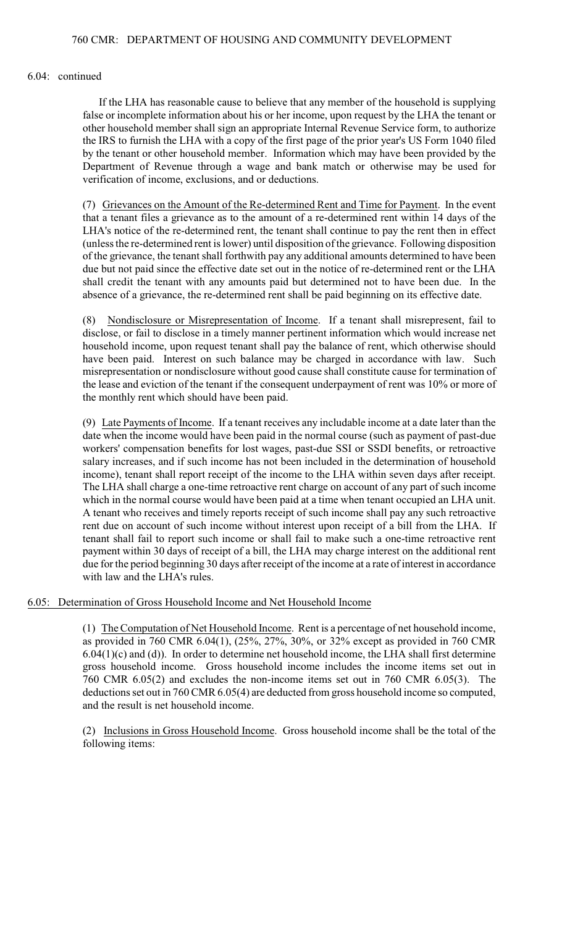### 6.04: continued

If the LHA has reasonable cause to believe that any member of the household is supplying false or incomplete information about his or her income, upon request by the LHA the tenant or other household member shall sign an appropriate Internal Revenue Service form, to authorize the IRS to furnish the LHA with a copy of the first page of the prior year's US Form 1040 filed by the tenant or other household member. Information which may have been provided by the Department of Revenue through a wage and bank match or otherwise may be used for verification of income, exclusions, and or deductions.

(7) Grievances on the Amount of the Re-determined Rent and Time for Payment. In the event that a tenant files a grievance as to the amount of a re-determined rent within 14 days of the LHA's notice of the re-determined rent, the tenant shall continue to pay the rent then in effect (unless the re-determined rent is lower) until disposition of the grievance. Following disposition of the grievance, the tenant shall forthwith pay any additional amounts determined to have been due but not paid since the effective date set out in the notice of re-determined rent or the LHA shall credit the tenant with any amounts paid but determined not to have been due. In the absence of a grievance, the re-determined rent shall be paid beginning on its effective date.

(8) Nondisclosure or Misrepresentation of Income. If a tenant shall misrepresent, fail to disclose, or fail to disclose in a timely manner pertinent information which would increase net household income, upon request tenant shall pay the balance of rent, which otherwise should have been paid. Interest on such balance may be charged in accordance with law. Such misrepresentation or nondisclosure without good cause shall constitute cause for termination of the lease and eviction of the tenant if the consequent underpayment of rent was 10% or more of the monthly rent which should have been paid.

(9) Late Payments of Income. If a tenant receives any includable income at a date later than the date when the income would have been paid in the normal course (such as payment of past-due workers' compensation benefits for lost wages, past-due SSI or SSDI benefits, or retroactive salary increases, and if such income has not been included in the determination of household income), tenant shall report receipt of the income to the LHA within seven days after receipt. The LHA shall charge a one-time retroactive rent charge on account of any part of such income which in the normal course would have been paid at a time when tenant occupied an LHA unit. A tenant who receives and timely reports receipt of such income shall pay any such retroactive rent due on account of such income without interest upon receipt of a bill from the LHA. If tenant shall fail to report such income or shall fail to make such a one-time retroactive rent payment within 30 days of receipt of a bill, the LHA may charge interest on the additional rent due for the period beginning 30 days after receipt of the income at a rate of interest in accordance with law and the LHA's rules.

6.05: Determination of Gross Household Income and Net Household Income

(1) The Computation of Net Household Income. Rent is a percentage of net household income, as provided in 760 CMR 6.04(1), (25%, 27%, 30%, or 32% except as provided in 760 CMR  $6.04(1)(c)$  and (d)). In order to determine net household income, the LHA shall first determine gross household income. Gross household income includes the income items set out in 760 CMR 6.05(2) and excludes the non-income items set out in 760 CMR 6.05(3). The deductions set out in 760 CMR 6.05(4) are deducted from gross household income so computed, and the result is net household income.

(2) Inclusions in Gross Household Income. Gross household income shall be the total of the following items: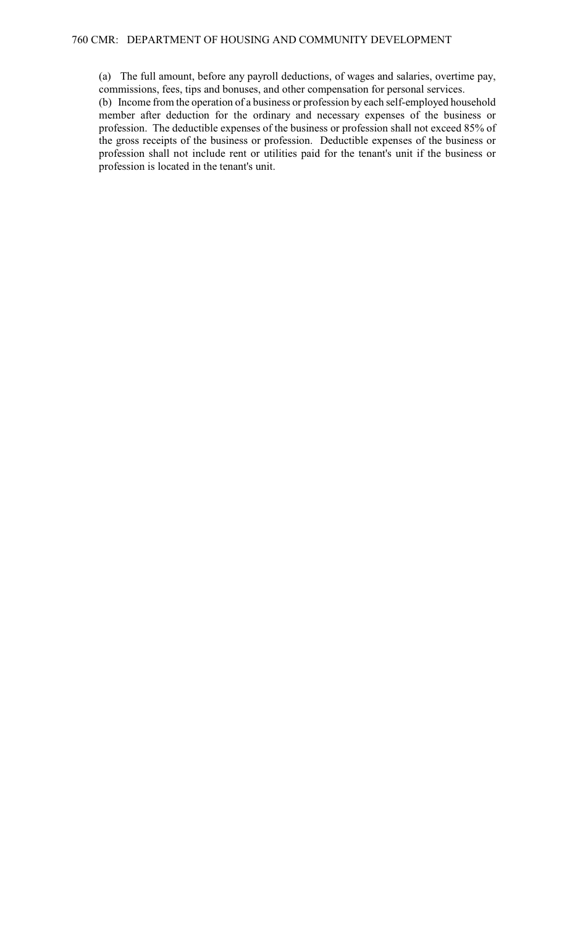(a) The full amount, before any payroll deductions, of wages and salaries, overtime pay, commissions, fees, tips and bonuses, and other compensation for personal services.

(b) Income from the operation of a business or profession by each self-employed household member after deduction for the ordinary and necessary expenses of the business or profession. The deductible expenses of the business or profession shall not exceed 85% of the gross receipts of the business or profession. Deductible expenses of the business or profession shall not include rent or utilities paid for the tenant's unit if the business or profession is located in the tenant's unit.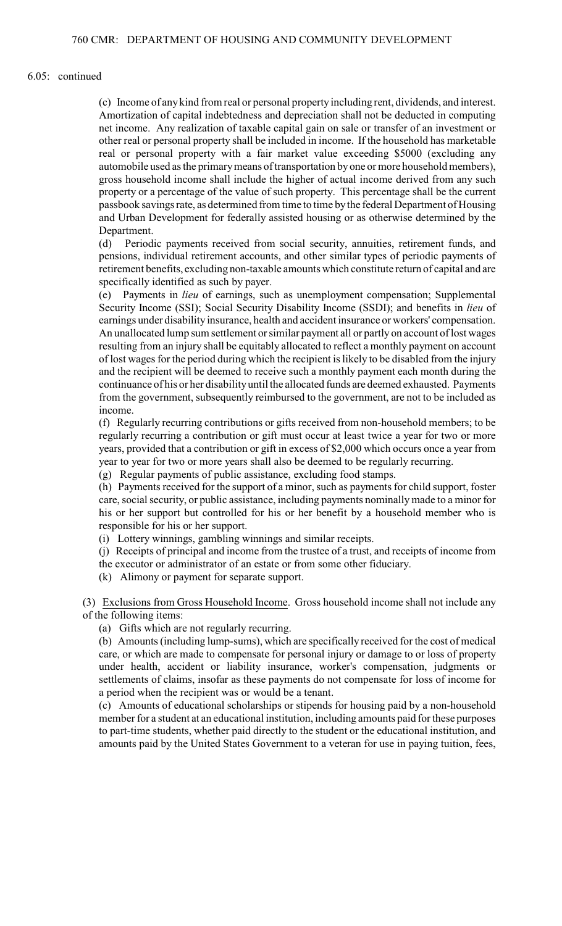### 6.05: continued

(c) Income of anykind from real or personal property including rent, dividends, and interest. Amortization of capital indebtedness and depreciation shall not be deducted in computing net income. Any realization of taxable capital gain on sale or transfer of an investment or other real or personal property shall be included in income. If the household has marketable real or personal property with a fair market value exceeding \$5000 (excluding any automobile used as the primary means of transportation by one or more household members), gross household income shall include the higher of actual income derived from any such property or a percentage of the value of such property. This percentage shall be the current passbook savings rate, as determined from time to time by the federal Department of Housing and Urban Development for federally assisted housing or as otherwise determined by the Department.

(d) Periodic payments received from social security, annuities, retirement funds, and pensions, individual retirement accounts, and other similar types of periodic payments of retirement benefits, excluding non-taxable amounts which constitute return of capital and are specifically identified as such by payer.

(e) Payments in *lieu* of earnings, such as unemployment compensation; Supplemental Security Income (SSI); Social Security Disability Income (SSDI); and benefits in *lieu* of earnings under disability insurance, health and accident insurance or workers' compensation. An unallocated lump sum settlement or similar payment all or partly on account of lost wages resulting from an injury shall be equitably allocated to reflect a monthly payment on account of lost wages for the period during which the recipient is likely to be disabled from the injury and the recipient will be deemed to receive such a monthly payment each month during the continuance of his or her disability until the allocated funds are deemed exhausted. Payments from the government, subsequently reimbursed to the government, are not to be included as income.

(f) Regularly recurring contributions or gifts received from non-household members; to be regularly recurring a contribution or gift must occur at least twice a year for two or more years, provided that a contribution or gift in excess of \$2,000 which occurs once a year from year to year for two or more years shall also be deemed to be regularly recurring.

(g) Regular payments of public assistance, excluding food stamps.

(h) Payments received for the support of a minor, such as payments for child support, foster care, social security, or public assistance, including payments nominally made to a minor for his or her support but controlled for his or her benefit by a household member who is responsible for his or her support.

(i) Lottery winnings, gambling winnings and similar receipts.

(j) Receipts of principal and income from the trustee of a trust, and receipts of income from the executor or administrator of an estate or from some other fiduciary.

(k) Alimony or payment for separate support.

(3) Exclusions from Gross Household Income. Gross household income shall not include any of the following items:

(a) Gifts which are not regularly recurring.

(b) Amounts (including lump-sums), which are specifically received for the cost of medical care, or which are made to compensate for personal injury or damage to or loss of property under health, accident or liability insurance, worker's compensation, judgments or settlements of claims, insofar as these payments do not compensate for loss of income for a period when the recipient was or would be a tenant.

(c) Amounts of educational scholarships or stipends for housing paid by a non-household member for a student at an educational institution, including amounts paid for these purposes to part-time students, whether paid directly to the student or the educational institution, and amounts paid by the United States Government to a veteran for use in paying tuition, fees,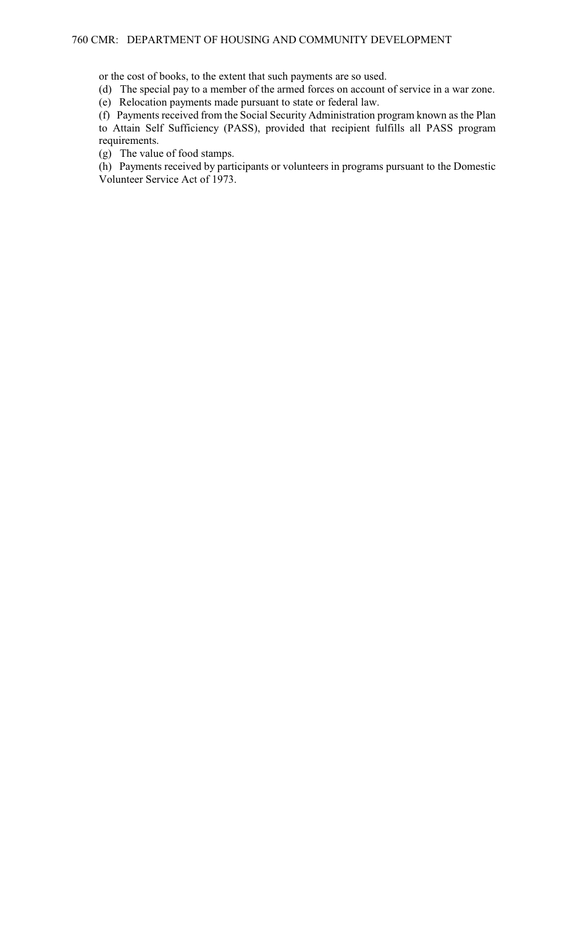or the cost of books, to the extent that such payments are so used.

(d) The special pay to a member of the armed forces on account of service in a war zone.

(e) Relocation payments made pursuant to state or federal law.

(f) Payments received from the Social Security Administration program known as the Plan to Attain Self Sufficiency (PASS), provided that recipient fulfills all PASS program requirements.

(g) The value of food stamps.

(h) Payments received by participants or volunteers in programs pursuant to the Domestic Volunteer Service Act of 1973.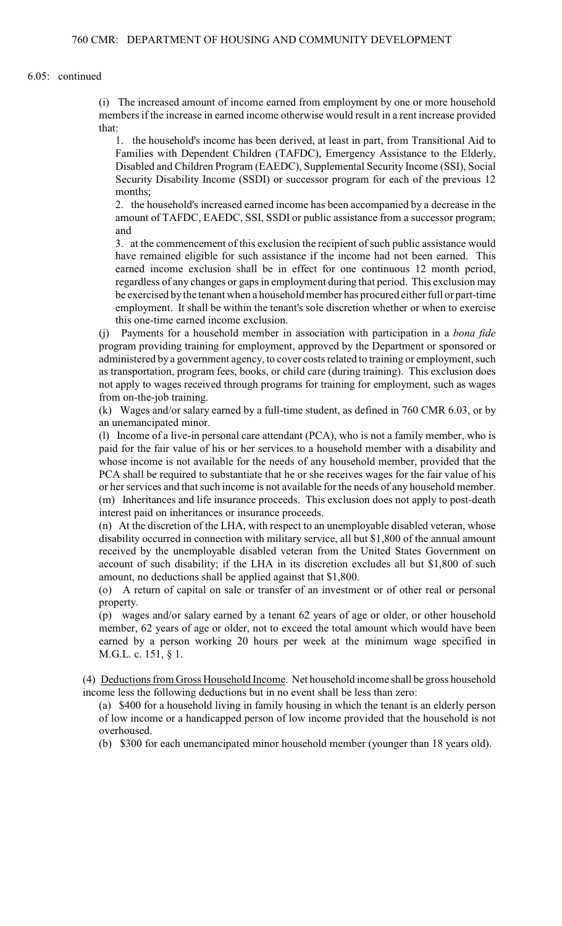(i) The increased amount of income earned from employment by one or more household members if the increase in earned income otherwise would result in a rent increase provided that:

1. the household's income has been derived, at least in part, from Transitional Aid to Families with Dependent Children (TAFDC), Emergency Assistance to the Elderly, Disabled and Children Program (EAEDC), Supplemental Security Income (SSI), Social Security Disability Income (SSDI) or successor program for each of the previous 12 months;

2. the household's increased earned income has been accompanied by a decrease in the amount of TAFDC, EAEDC, SSI, SSDI or public assistance from a successor program; and

3. at the commencement of this exclusion the recipient of such public assistance would have remained eligible for such assistance if the income had not been earned. This earned income exclusion shall be in effect for one continuous 12 month period, regardless of any changes or gaps in employment during that period. This exclusion may be exercised by the tenant when a household member has procured either full or part-time employment. It shall be within the tenant's sole discretion whether or when to exercise this one-time earned income exclusion.

(j) Payments for a household member in association with participation in a *bona fide* program providing training for employment, approved by the Department or sponsored or administered by a government agency, to cover costs related to training or employment, such as transportation, program fees, books, or child care (during training). This exclusion does not apply to wages received through programs for training for employment, such as wages from on-the-job training.

(k) Wages and/or salary earned by a full-time student, as defined in 760 CMR 6.03, or by an unemancipated minor.

(l) Income of a live-in personal care attendant (PCA), who is not a family member, who is paid for the fair value of his or her services to a household member with a disability and whose income is not available for the needs of any household member, provided that the PCA shall be required to substantiate that he or she receives wages for the fair value of his or her services and that such income is not available for the needs of any household member. (m) Inheritances and life insurance proceeds. This exclusion does not apply to post-death interest paid on inheritances or insurance proceeds.

(n) At the discretion of the LHA, with respect to an unemployable disabled veteran, whose disability occurred in connection with military service, all but \$1,800 of the annual amount received by the unemployable disabled veteran from the United States Government on account of such disability; if the LHA in its discretion excludes all but \$1,800 of such amount, no deductions shall be applied against that \$1,800.

(o) A return of capital on sale or transfer of an investment or of other real or personal property.

(p) wages and/or salary earned by a tenant 62 years of age or older, or other household member, 62 years of age or older, not to exceed the total amount which would have been earned by a person working 20 hours per week at the minimum wage specified in M.G.L. c. 151, § 1.

(4) Deductions from Gross Household Income. Net household income shall be gross household income less the following deductions but in no event shall be less than zero:

(a) \$400 for a household living in family housing in which the tenant is an elderly person of low income or a handicapped person of low income provided that the household is not overhoused.

(b) \$300 for each unemancipated minor household member (younger than 18 years old).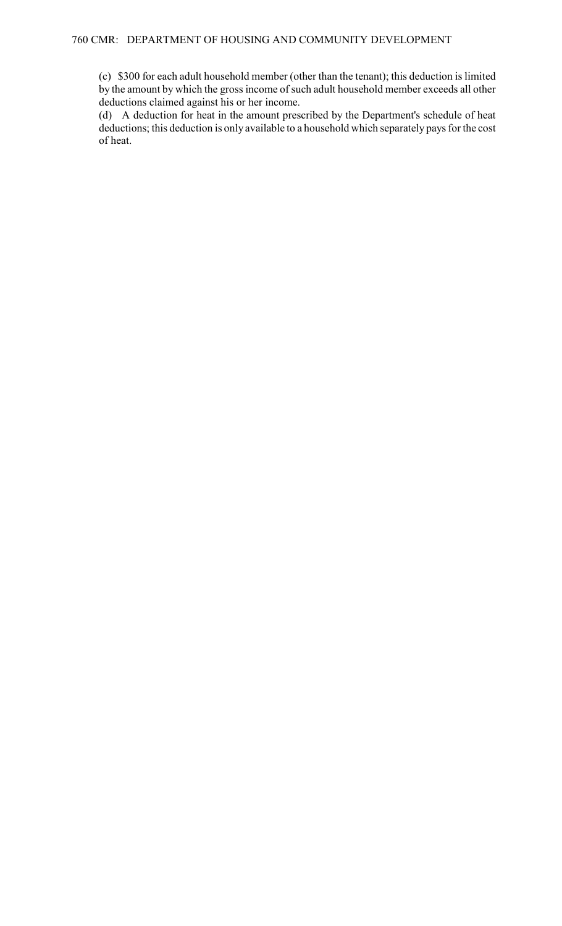(c) \$300 for each adult household member (other than the tenant); this deduction is limited by the amount by which the gross income of such adult household member exceeds all other deductions claimed against his or her income.

(d) A deduction for heat in the amount prescribed by the Department's schedule of heat deductions; this deduction is only available to a household which separately pays for the cost of heat.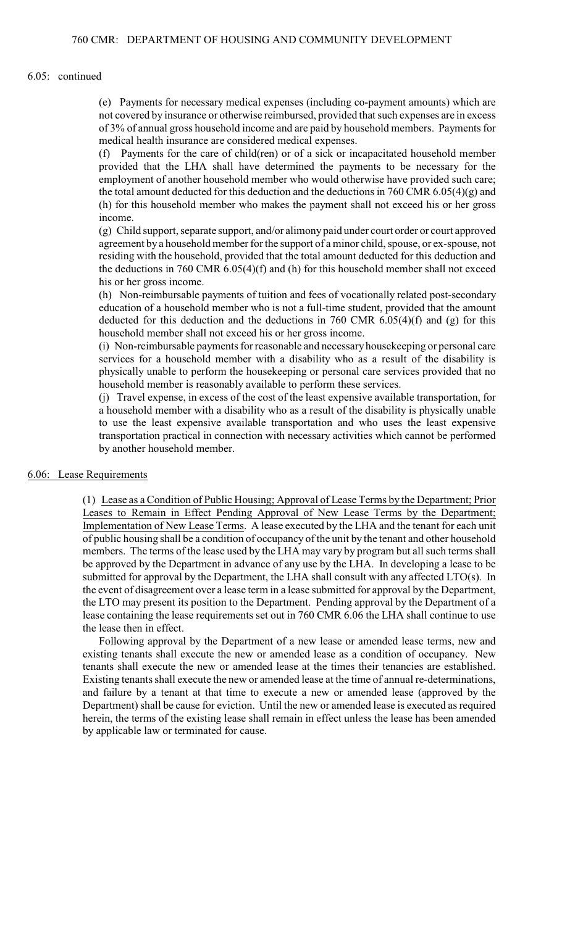### 6.05: continued

(e) Payments for necessary medical expenses (including co-payment amounts) which are not covered by insurance or otherwise reimbursed, provided that such expenses are in excess of 3% of annual gross household income and are paid by household members. Payments for medical health insurance are considered medical expenses.

(f) Payments for the care of child(ren) or of a sick or incapacitated household member provided that the LHA shall have determined the payments to be necessary for the employment of another household member who would otherwise have provided such care; the total amount deducted for this deduction and the deductions in  $760$  CMR  $6.05(4)(g)$  and (h) for this household member who makes the payment shall not exceed his or her gross income.

(g) Child support, separate support, and/or alimony paid under court order or court approved agreement by a household member forthe support of a minor child, spouse, or ex-spouse, not residing with the household, provided that the total amount deducted for this deduction and the deductions in 760 CMR 6.05(4)(f) and (h) for this household member shall not exceed his or her gross income.

(h) Non-reimbursable payments of tuition and fees of vocationally related post-secondary education of a household member who is not a full-time student, provided that the amount deducted for this deduction and the deductions in 760 CMR 6.05(4)(f) and (g) for this household member shall not exceed his or her gross income.

(i) Non-reimbursable payments for reasonable and necessary housekeeping or personal care services for a household member with a disability who as a result of the disability is physically unable to perform the housekeeping or personal care services provided that no household member is reasonably available to perform these services.

(j) Travel expense, in excess of the cost of the least expensive available transportation, for a household member with a disability who as a result of the disability is physically unable to use the least expensive available transportation and who uses the least expensive transportation practical in connection with necessary activities which cannot be performed by another household member.

### 6.06: Lease Requirements

(1) Lease as a Condition of Public Housing; Approval of Lease Terms by the Department; Prior Leases to Remain in Effect Pending Approval of New Lease Terms by the Department; Implementation of New Lease Terms. A lease executed by the LHA and the tenant for each unit of public housing shall be a condition of occupancy of the unit by the tenant and other household members. The terms of the lease used by the LHA may vary by program but all such terms shall be approved by the Department in advance of any use by the LHA. In developing a lease to be submitted for approval by the Department, the LHA shall consult with any affected LTO(s). In the event of disagreement over a lease term in a lease submitted for approval by the Department, the LTO may present its position to the Department. Pending approval by the Department of a lease containing the lease requirements set out in 760 CMR 6.06 the LHA shall continue to use the lease then in effect.

Following approval by the Department of a new lease or amended lease terms, new and existing tenants shall execute the new or amended lease as a condition of occupancy. New tenants shall execute the new or amended lease at the times their tenancies are established. Existing tenants shall execute the new or amended lease at the time of annual re-determinations, and failure by a tenant at that time to execute a new or amended lease (approved by the Department) shall be cause for eviction. Until the new or amended lease is executed as required herein, the terms of the existing lease shall remain in effect unless the lease has been amended by applicable law or terminated for cause.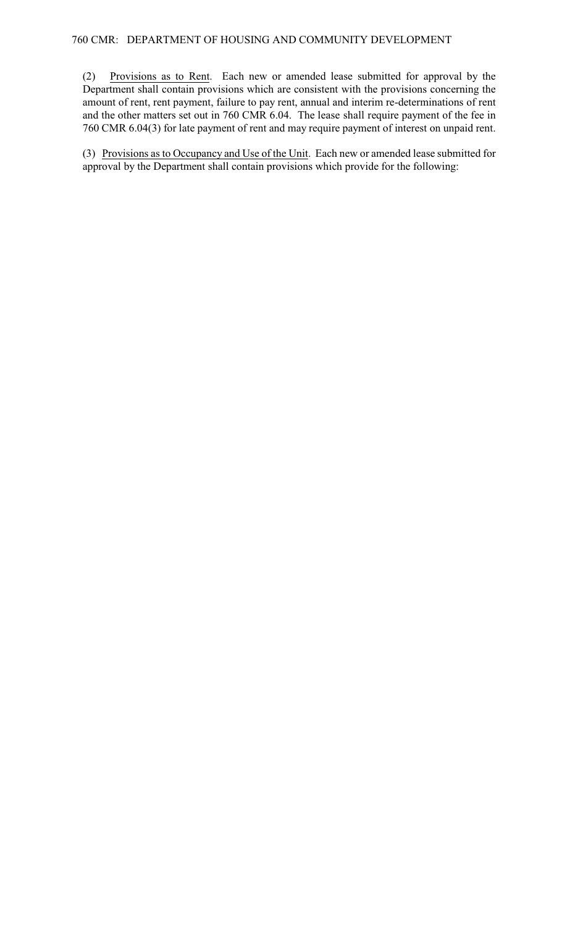(2) Provisions as to Rent. Each new or amended lease submitted for approval by the Department shall contain provisions which are consistent with the provisions concerning the amount of rent, rent payment, failure to pay rent, annual and interim re-determinations of rent and the other matters set out in 760 CMR 6.04. The lease shall require payment of the fee in 760 CMR 6.04(3) for late payment of rent and may require payment of interest on unpaid rent.

(3) Provisions as to Occupancy and Use of the Unit. Each new or amended lease submitted for approval by the Department shall contain provisions which provide for the following: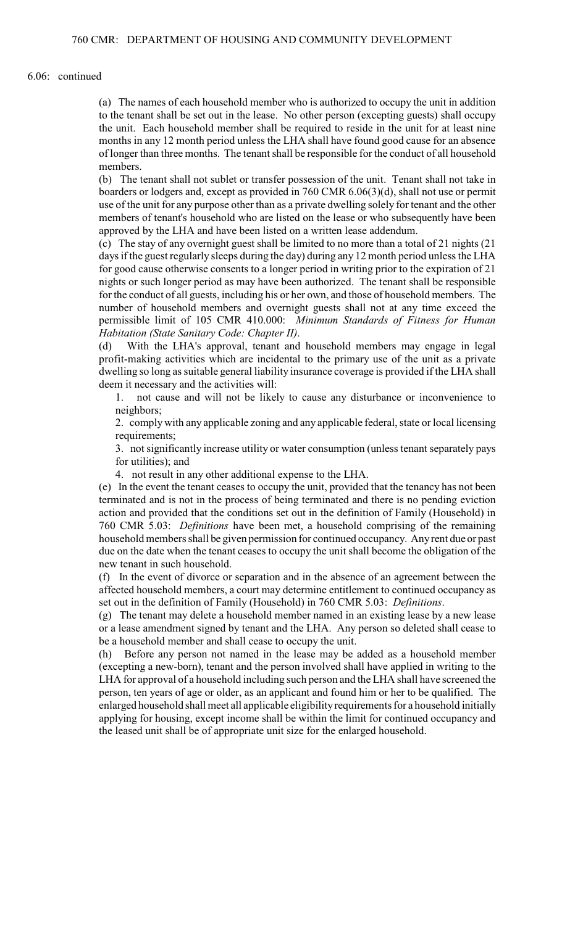### 6.06: continued

(a) The names of each household member who is authorized to occupy the unit in addition to the tenant shall be set out in the lease. No other person (excepting guests) shall occupy the unit. Each household member shall be required to reside in the unit for at least nine months in any 12 month period unless the LHA shall have found good cause for an absence of longer than three months. The tenant shall be responsible for the conduct of all household members.

(b) The tenant shall not sublet or transfer possession of the unit. Tenant shall not take in boarders or lodgers and, except as provided in 760 CMR 6.06(3)(d), shall not use or permit use of the unit for any purpose other than as a private dwelling solely for tenant and the other members of tenant's household who are listed on the lease or who subsequently have been approved by the LHA and have been listed on a written lease addendum.

(c) The stay of any overnight guest shall be limited to no more than a total of 21 nights (21 days if the guest regularly sleeps during the day) during any 12 month period unless the LHA for good cause otherwise consents to a longer period in writing prior to the expiration of 21 nights or such longer period as may have been authorized. The tenant shall be responsible for the conduct of all guests, including his or her own, and those of household members. The number of household members and overnight guests shall not at any time exceed the permissible limit of 105 CMR 410.000: *Minimum Standards of Fitness for Human Habitation (State Sanitary Code: Chapter II)*.

(d) With the LHA's approval, tenant and household members may engage in legal profit-making activities which are incidental to the primary use of the unit as a private dwelling so long as suitable general liability insurance coverage is provided if the LHA shall deem it necessary and the activities will:

1. not cause and will not be likely to cause any disturbance or inconvenience to neighbors;

2. comply with any applicable zoning and any applicable federal, state or local licensing requirements;

3. not significantly increase utility or water consumption (unless tenant separately pays for utilities); and

4. not result in any other additional expense to the LHA.

(e) In the event the tenant ceases to occupy the unit, provided that the tenancy has not been terminated and is not in the process of being terminated and there is no pending eviction action and provided that the conditions set out in the definition of Family (Household) in 760 CMR 5.03: *Definitions* have been met, a household comprising of the remaining household members shall be given permission for continued occupancy. Any rent due or past due on the date when the tenant ceases to occupy the unit shall become the obligation of the new tenant in such household.

(f) In the event of divorce or separation and in the absence of an agreement between the affected household members, a court may determine entitlement to continued occupancy as set out in the definition of Family (Household) in 760 CMR 5.03: *Definitions*.

(g) The tenant may delete a household member named in an existing lease by a new lease or a lease amendment signed by tenant and the LHA. Any person so deleted shall cease to be a household member and shall cease to occupy the unit.

(h) Before any person not named in the lease may be added as a household member (excepting a new-born), tenant and the person involved shall have applied in writing to the LHA for approval of a household including such person and the LHA shall have screened the person, ten years of age or older, as an applicant and found him or her to be qualified. The enlarged household shall meet all applicable eligibilityrequirements for a household initially applying for housing, except income shall be within the limit for continued occupancy and the leased unit shall be of appropriate unit size for the enlarged household.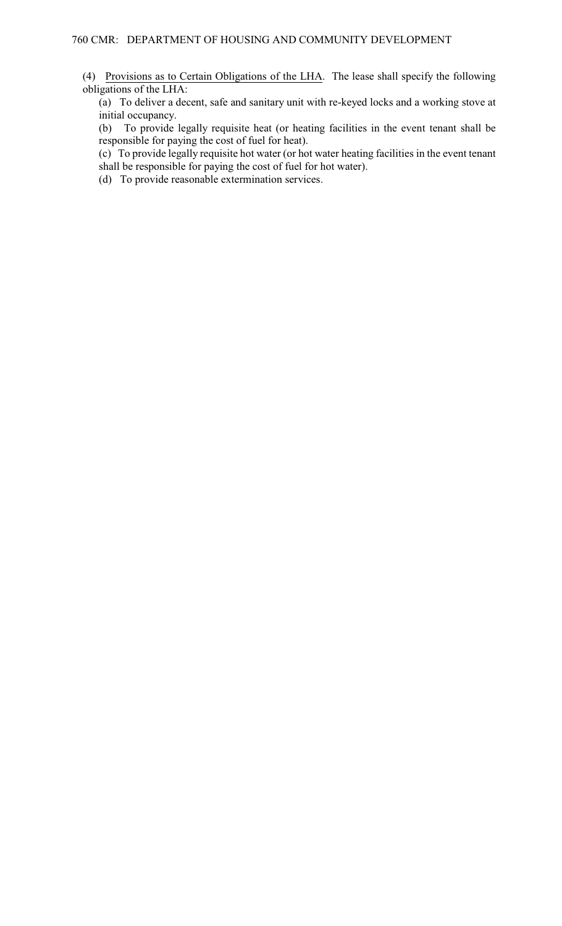(4) Provisions as to Certain Obligations of the LHA. The lease shall specify the following obligations of the LHA:

(a) To deliver a decent, safe and sanitary unit with re-keyed locks and a working stove at initial occupancy.

(b) To provide legally requisite heat (or heating facilities in the event tenant shall be responsible for paying the cost of fuel for heat).

(c) To provide legally requisite hot water (or hot water heating facilities in the event tenant shall be responsible for paying the cost of fuel for hot water).

(d) To provide reasonable extermination services.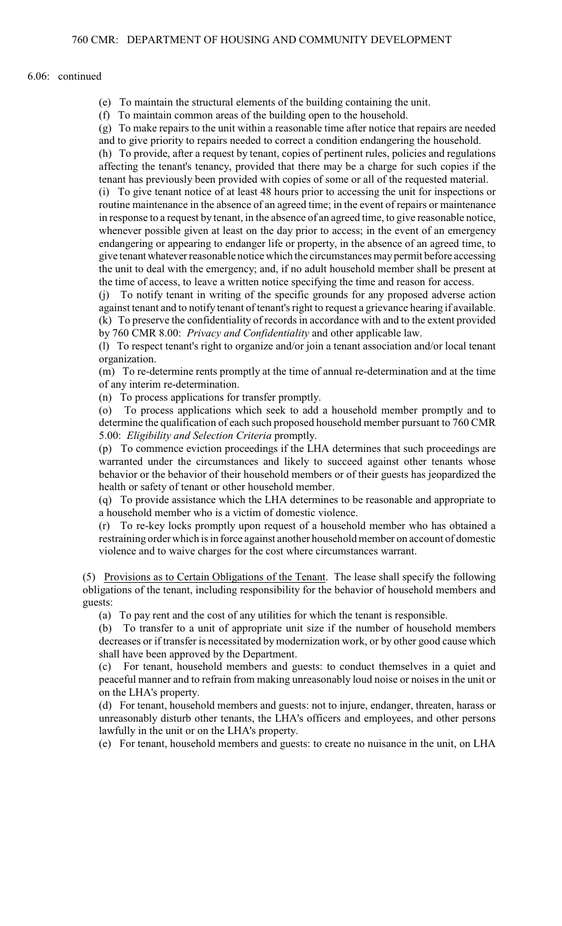#### 6.06: continued

(e) To maintain the structural elements of the building containing the unit.

(f) To maintain common areas of the building open to the household.

(g) To make repairs to the unit within a reasonable time after notice that repairs are needed and to give priority to repairs needed to correct a condition endangering the household.

(h) To provide, after a request by tenant, copies of pertinent rules, policies and regulations affecting the tenant's tenancy, provided that there may be a charge for such copies if the tenant has previously been provided with copies of some or all of the requested material.

(i) To give tenant notice of at least 48 hours prior to accessing the unit for inspections or routine maintenance in the absence of an agreed time; in the event of repairs or maintenance in response to a request by tenant, in the absence of an agreed time, to give reasonable notice, whenever possible given at least on the day prior to access; in the event of an emergency endangering or appearing to endanger life or property, in the absence of an agreed time, to give tenant whatever reasonable notice which the circumstances may permit before accessing the unit to deal with the emergency; and, if no adult household member shall be present at the time of access, to leave a written notice specifying the time and reason for access.

(j) To notify tenant in writing of the specific grounds for any proposed adverse action against tenant and to notify tenant of tenant's right to request a grievance hearing if available. (k) To preserve the confidentiality of records in accordance with and to the extent provided by 760 CMR 8.00: *Privacy and Confidentiality* and other applicable law.

(l) To respect tenant's right to organize and/or join a tenant association and/or local tenant organization.

(m) To re-determine rents promptly at the time of annual re-determination and at the time of any interim re-determination.

(n) To process applications for transfer promptly.

(o) To process applications which seek to add a household member promptly and to determine the qualification of each such proposed household member pursuant to 760 CMR 5.00: *Eligibility and Selection Criteria* promptly.

(p) To commence eviction proceedings if the LHA determines that such proceedings are warranted under the circumstances and likely to succeed against other tenants whose behavior or the behavior of their household members or of their guests has jeopardized the health or safety of tenant or other household member.

(q) To provide assistance which the LHA determines to be reasonable and appropriate to a household member who is a victim of domestic violence.

(r) To re-key locks promptly upon request of a household member who has obtained a restraining order which is in force against another household member on account of domestic violence and to waive charges for the cost where circumstances warrant.

(5) Provisions as to Certain Obligations of the Tenant. The lease shall specify the following obligations of the tenant, including responsibility for the behavior of household members and guests:

(a) To pay rent and the cost of any utilities for which the tenant is responsible.

(b) To transfer to a unit of appropriate unit size if the number of household members decreases or if transfer is necessitated by modernization work, or by other good cause which shall have been approved by the Department.

(c) For tenant, household members and guests: to conduct themselves in a quiet and peaceful manner and to refrain from making unreasonably loud noise or noises in the unit or on the LHA's property.

(d) For tenant, household members and guests: not to injure, endanger, threaten, harass or unreasonably disturb other tenants, the LHA's officers and employees, and other persons lawfully in the unit or on the LHA's property.

(e) For tenant, household members and guests: to create no nuisance in the unit, on LHA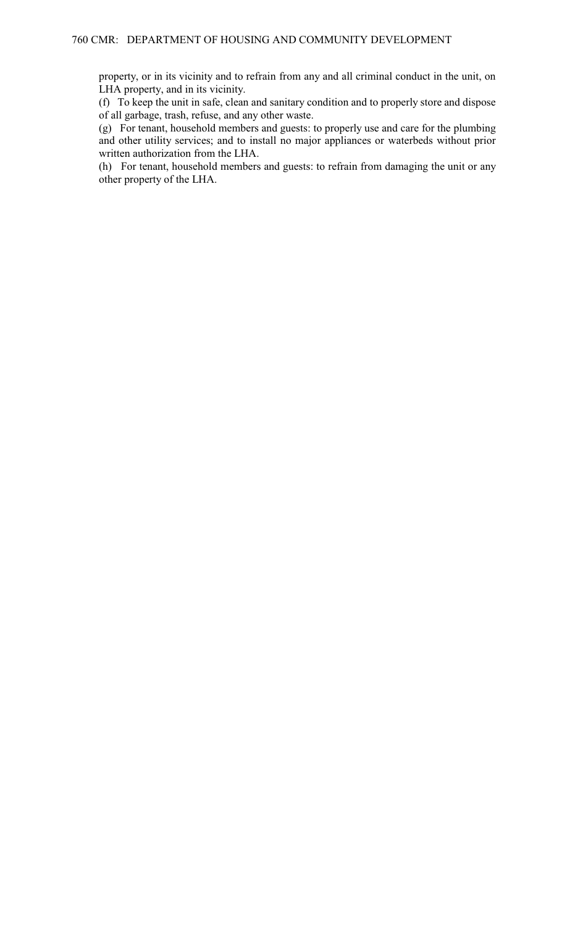property, or in its vicinity and to refrain from any and all criminal conduct in the unit, on LHA property, and in its vicinity.

(f) To keep the unit in safe, clean and sanitary condition and to properly store and dispose of all garbage, trash, refuse, and any other waste.

(g) For tenant, household members and guests: to properly use and care for the plumbing and other utility services; and to install no major appliances or waterbeds without prior written authorization from the LHA.

(h) For tenant, household members and guests: to refrain from damaging the unit or any other property of the LHA.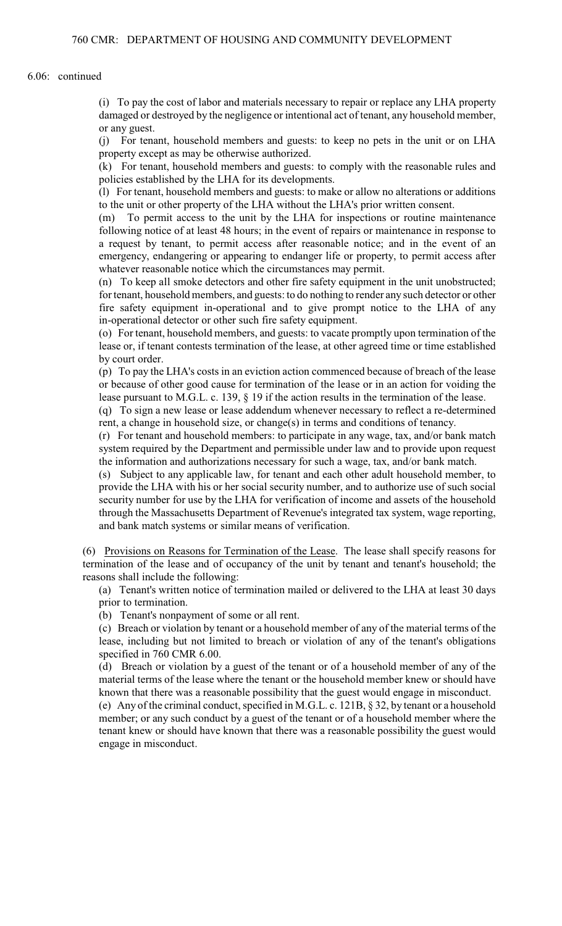6.06: continued

(i) To pay the cost of labor and materials necessary to repair or replace any LHA property damaged or destroyed by the negligence or intentional act of tenant, any household member, or any guest.

(j) For tenant, household members and guests: to keep no pets in the unit or on LHA property except as may be otherwise authorized.

(k) For tenant, household members and guests: to comply with the reasonable rules and policies established by the LHA for its developments.

(l) For tenant, household members and guests: to make or allow no alterations or additions to the unit or other property of the LHA without the LHA's prior written consent.

(m) To permit access to the unit by the LHA for inspections or routine maintenance following notice of at least 48 hours; in the event of repairs or maintenance in response to a request by tenant, to permit access after reasonable notice; and in the event of an emergency, endangering or appearing to endanger life or property, to permit access after whatever reasonable notice which the circumstances may permit.

(n) To keep all smoke detectors and other fire safety equipment in the unit unobstructed; for tenant, household members, and guests: to do nothing to render any such detector or other fire safety equipment in-operational and to give prompt notice to the LHA of any in-operational detector or other such fire safety equipment.

(o) For tenant, household members, and guests: to vacate promptly upon termination of the lease or, if tenant contests termination of the lease, at other agreed time or time established by court order.

(p) To pay the LHA's costs in an eviction action commenced because of breach of the lease or because of other good cause for termination of the lease or in an action for voiding the lease pursuant to M.G.L. c. 139, § 19 if the action results in the termination of the lease.

(q) To sign a new lease or lease addendum whenever necessary to reflect a re-determined rent, a change in household size, or change(s) in terms and conditions of tenancy.

(r) For tenant and household members: to participate in any wage, tax, and/or bank match system required by the Department and permissible under law and to provide upon request the information and authorizations necessary for such a wage, tax, and/or bank match.

(s) Subject to any applicable law, for tenant and each other adult household member, to provide the LHA with his or her social security number, and to authorize use of such social security number for use by the LHA for verification of income and assets of the household through the Massachusetts Department of Revenue's integrated tax system, wage reporting, and bank match systems or similar means of verification.

(6) Provisions on Reasons for Termination of the Lease. The lease shall specify reasons for termination of the lease and of occupancy of the unit by tenant and tenant's household; the reasons shall include the following:

(a) Tenant's written notice of termination mailed or delivered to the LHA at least 30 days prior to termination.

(b) Tenant's nonpayment of some or all rent.

(c) Breach or violation by tenant or a household member of any of the material terms of the lease, including but not limited to breach or violation of any of the tenant's obligations specified in 760 CMR 6.00.

(d) Breach or violation by a guest of the tenant or of a household member of any of the material terms of the lease where the tenant or the household member knew or should have known that there was a reasonable possibility that the guest would engage in misconduct.

(e) Any of the criminal conduct, specified in M.G.L. c. 121B, § 32, by tenant or a household member; or any such conduct by a guest of the tenant or of a household member where the tenant knew or should have known that there was a reasonable possibility the guest would engage in misconduct.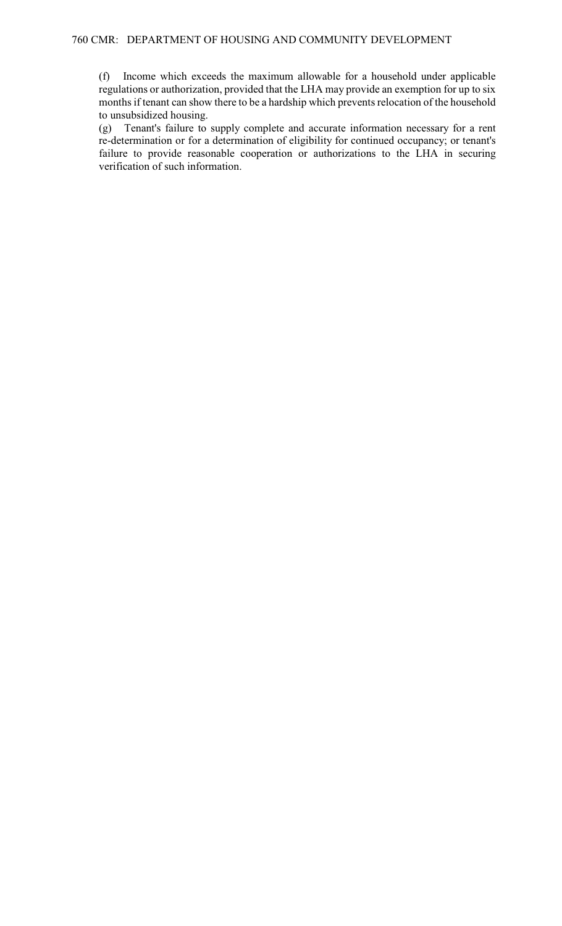(f) Income which exceeds the maximum allowable for a household under applicable regulations or authorization, provided that the LHA may provide an exemption for up to six months if tenant can show there to be a hardship which prevents relocation of the household to unsubsidized housing.

(g) Tenant's failure to supply complete and accurate information necessary for a rent re-determination or for a determination of eligibility for continued occupancy; or tenant's failure to provide reasonable cooperation or authorizations to the LHA in securing verification of such information.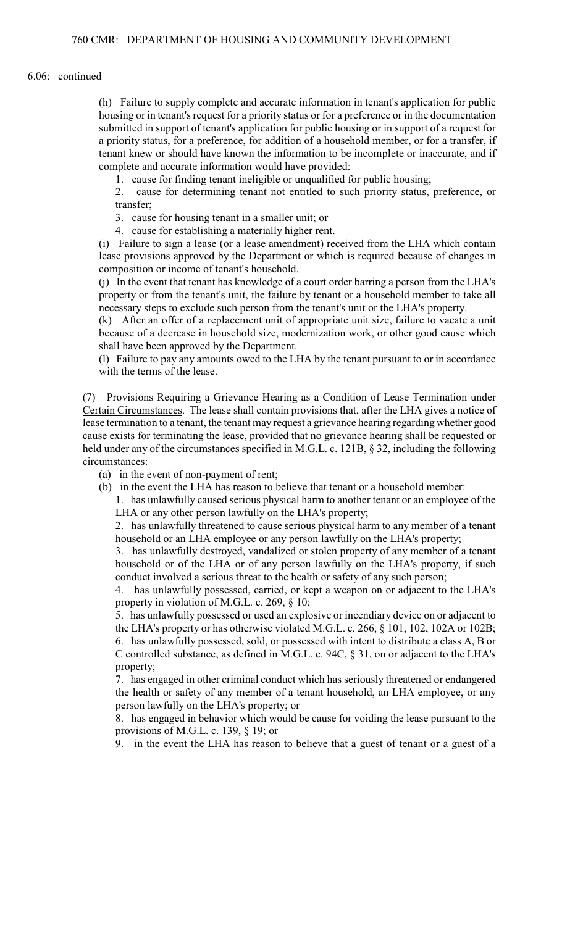### 6.06: continued

(h) Failure to supply complete and accurate information in tenant's application for public housing or in tenant's request for a priority status or for a preference or in the documentation submitted in support of tenant's application for public housing or in support of a request for a priority status, for a preference, for addition of a household member, or for a transfer, if tenant knew or should have known the information to be incomplete or inaccurate, and if complete and accurate information would have provided:

1. cause for finding tenant ineligible or unqualified for public housing;

2. cause for determining tenant not entitled to such priority status, preference, or transfer;

3. cause for housing tenant in a smaller unit; or

4. cause for establishing a materially higher rent.

(i) Failure to sign a lease (or a lease amendment) received from the LHA which contain lease provisions approved by the Department or which is required because of changes in composition or income of tenant's household.

(j) In the event that tenant has knowledge of a court order barring a person from the LHA's property or from the tenant's unit, the failure by tenant or a household member to take all necessary steps to exclude such person from the tenant's unit or the LHA's property.

(k) After an offer of a replacement unit of appropriate unit size, failure to vacate a unit because of a decrease in household size, modernization work, or other good cause which shall have been approved by the Department.

(l) Failure to pay any amounts owed to the LHA by the tenant pursuant to or in accordance with the terms of the lease.

(7) Provisions Requiring a Grievance Hearing as a Condition of Lease Termination under Certain Circumstances. The lease shall contain provisions that, after the LHA gives a notice of lease termination to a tenant, the tenant may request a grievance hearing regarding whether good cause exists for terminating the lease, provided that no grievance hearing shall be requested or held under any of the circumstances specified in M.G.L. c. 121B, § 32, including the following circumstances:

(a) in the event of non-payment of rent;

(b) in the event the LHA has reason to believe that tenant or a household member:

1. has unlawfully caused serious physical harm to another tenant or an employee of the LHA or any other person lawfully on the LHA's property;

2. has unlawfully threatened to cause serious physical harm to any member of a tenant household or an LHA employee or any person lawfully on the LHA's property;

3. has unlawfully destroyed, vandalized or stolen property of any member of a tenant household or of the LHA or of any person lawfully on the LHA's property, if such conduct involved a serious threat to the health or safety of any such person;

4. has unlawfully possessed, carried, or kept a weapon on or adjacent to the LHA's property in violation of M.G.L. c. 269, § 10;

5. has unlawfully possessed or used an explosive or incendiary device on or adjacent to the LHA's property or has otherwise violated M.G.L. c. 266, § 101, 102, 102A or 102B; 6. has unlawfully possessed, sold, or possessed with intent to distribute a class A, B or C controlled substance, as defined in M.G.L. c. 94C, § 31, on or adjacent to the LHA's property;

7. has engaged in other criminal conduct which has seriously threatened or endangered the health or safety of any member of a tenant household, an LHA employee, or any person lawfully on the LHA's property; or

8. has engaged in behavior which would be cause for voiding the lease pursuant to the provisions of M.G.L. c. 139, § 19; or

9. in the event the LHA has reason to believe that a guest of tenant or a guest of a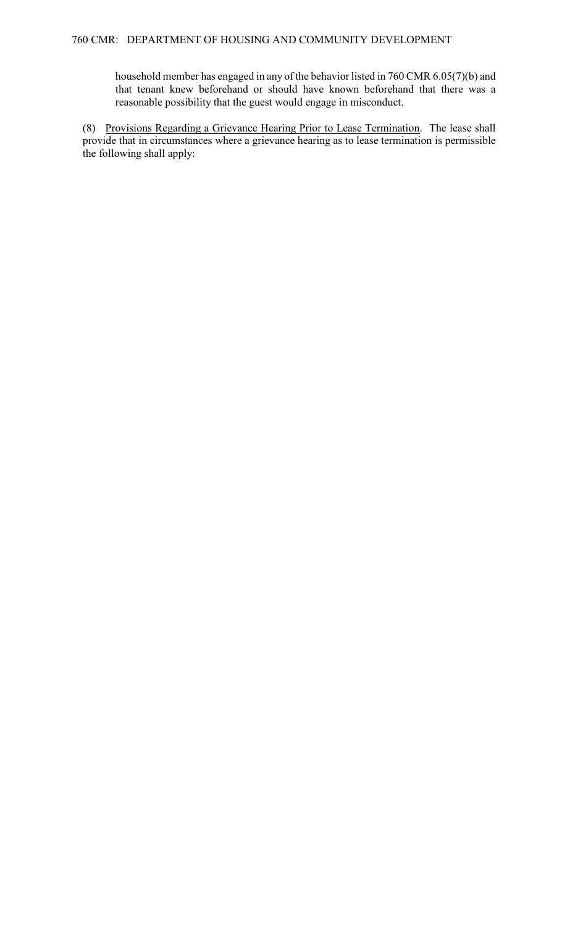household member has engaged in any of the behavior listed in 760 CMR 6.05(7)(b) and that tenant knew beforehand or should have known beforehand that there was a reasonable possibility that the guest would engage in misconduct.

(8) Provisions Regarding a Grievance Hearing Prior to Lease Termination. The lease shall provide that in circumstances where a grievance hearing as to lease termination is permissible the following shall apply: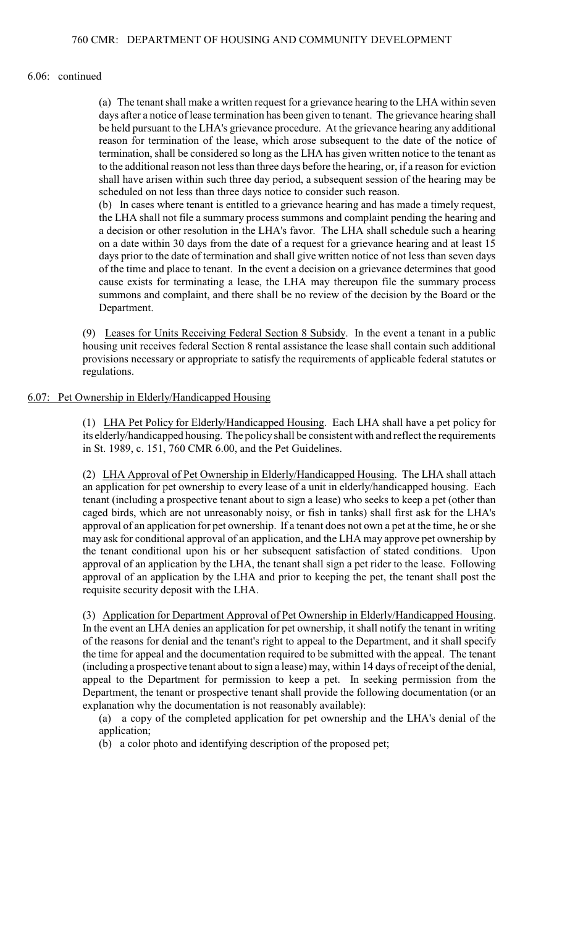#### 6.06: continued

(a) The tenant shall make a written request for a grievance hearing to the LHA within seven days after a notice of lease termination has been given to tenant. The grievance hearing shall be held pursuant to the LHA's grievance procedure. At the grievance hearing any additional reason for termination of the lease, which arose subsequent to the date of the notice of termination, shall be considered so long as the LHA has given written notice to the tenant as to the additional reason not less than three days before the hearing, or, if a reason for eviction shall have arisen within such three day period, a subsequent session of the hearing may be scheduled on not less than three days notice to consider such reason.

(b) In cases where tenant is entitled to a grievance hearing and has made a timely request, the LHA shall not file a summary process summons and complaint pending the hearing and a decision or other resolution in the LHA's favor. The LHA shall schedule such a hearing on a date within 30 days from the date of a request for a grievance hearing and at least 15 days prior to the date of termination and shall give written notice of not less than seven days of the time and place to tenant. In the event a decision on a grievance determines that good cause exists for terminating a lease, the LHA may thereupon file the summary process summons and complaint, and there shall be no review of the decision by the Board or the Department.

(9) Leases for Units Receiving Federal Section 8 Subsidy. In the event a tenant in a public housing unit receives federal Section 8 rental assistance the lease shall contain such additional provisions necessary or appropriate to satisfy the requirements of applicable federal statutes or regulations.

## 6.07: Pet Ownership in Elderly/Handicapped Housing

(1) LHA Pet Policy for Elderly/Handicapped Housing. Each LHA shall have a pet policy for its elderly/handicapped housing. The policy shall be consistent with and reflect the requirements in St. 1989, c. 151, 760 CMR 6.00, and the Pet Guidelines.

(2) LHA Approval of Pet Ownership in Elderly/Handicapped Housing. The LHA shall attach an application for pet ownership to every lease of a unit in elderly/handicapped housing. Each tenant (including a prospective tenant about to sign a lease) who seeks to keep a pet (other than caged birds, which are not unreasonably noisy, or fish in tanks) shall first ask for the LHA's approval of an application for pet ownership. If a tenant does not own a pet at the time, he or she may ask for conditional approval of an application, and the LHA may approve pet ownership by the tenant conditional upon his or her subsequent satisfaction of stated conditions. Upon approval of an application by the LHA, the tenant shall sign a pet rider to the lease. Following approval of an application by the LHA and prior to keeping the pet, the tenant shall post the requisite security deposit with the LHA.

(3) Application for Department Approval of Pet Ownership in Elderly/Handicapped Housing. In the event an LHA denies an application for pet ownership, it shall notify the tenant in writing of the reasons for denial and the tenant's right to appeal to the Department, and it shall specify the time for appeal and the documentation required to be submitted with the appeal. The tenant (including a prospective tenant about to sign a lease) may, within 14 days of receipt of the denial, appeal to the Department for permission to keep a pet. In seeking permission from the Department, the tenant or prospective tenant shall provide the following documentation (or an explanation why the documentation is not reasonably available):

(a) a copy of the completed application for pet ownership and the LHA's denial of the application;

(b) a color photo and identifying description of the proposed pet;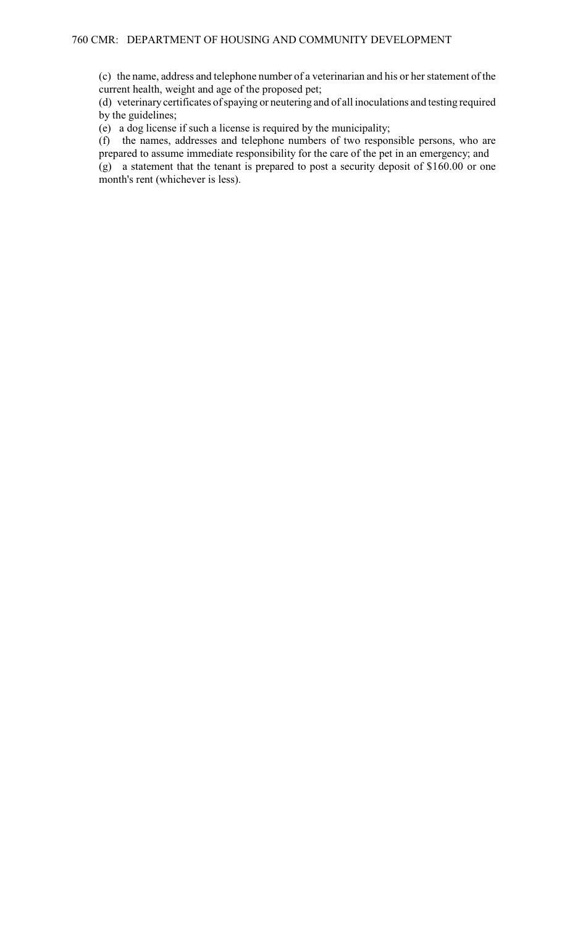(c) the name, address and telephone number of a veterinarian and his or her statement of the current health, weight and age of the proposed pet;

(d) veterinary certificates of spaying or neutering and of all inoculations and testing required by the guidelines;

(e) a dog license if such a license is required by the municipality;

(f) the names, addresses and telephone numbers of two responsible persons, who are prepared to assume immediate responsibility for the care of the pet in an emergency; and

(g) a statement that the tenant is prepared to post a security deposit of \$160.00 or one month's rent (whichever is less).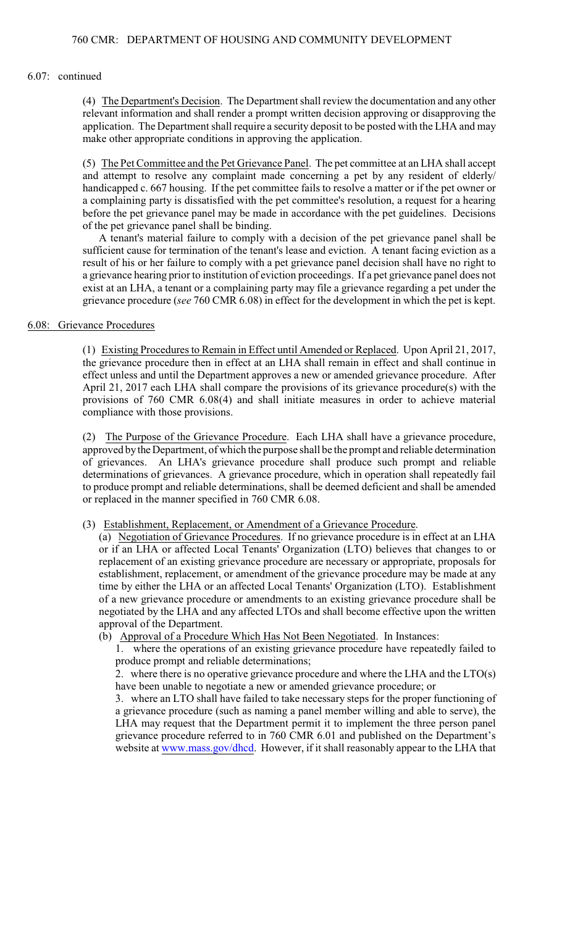#### 6.07: continued

(4) The Department's Decision. The Department shall review the documentation and any other relevant information and shall render a prompt written decision approving or disapproving the application. The Department shall require a security deposit to be posted with the LHA and may make other appropriate conditions in approving the application.

(5) The Pet Committee and the Pet Grievance Panel. The pet committee at an LHA shall accept and attempt to resolve any complaint made concerning a pet by any resident of elderly/ handicapped c. 667 housing. If the pet committee fails to resolve a matter or if the pet owner or a complaining party is dissatisfied with the pet committee's resolution, a request for a hearing before the pet grievance panel may be made in accordance with the pet guidelines. Decisions of the pet grievance panel shall be binding.

A tenant's material failure to comply with a decision of the pet grievance panel shall be sufficient cause for termination of the tenant's lease and eviction. A tenant facing eviction as a result of his or her failure to comply with a pet grievance panel decision shall have no right to a grievance hearing prior to institution of eviction proceedings. If a pet grievance panel does not exist at an LHA, a tenant or a complaining party may file a grievance regarding a pet under the grievance procedure (*see* 760 CMR 6.08) in effect for the development in which the pet is kept.

# 6.08: Grievance Procedures

(1) Existing Procedures to Remain in Effect until Amended or Replaced. Upon April 21, 2017, the grievance procedure then in effect at an LHA shall remain in effect and shall continue in effect unless and until the Department approves a new or amended grievance procedure. After April 21, 2017 each LHA shall compare the provisions of its grievance procedure(s) with the provisions of 760 CMR 6.08(4) and shall initiate measures in order to achieve material compliance with those provisions.

(2) The Purpose of the Grievance Procedure. Each LHA shall have a grievance procedure, approved by the Department, of which the purpose shall be the prompt and reliable determination of grievances. An LHA's grievance procedure shall produce such prompt and reliable determinations of grievances. A grievance procedure, which in operation shall repeatedly fail to produce prompt and reliable determinations, shall be deemed deficient and shall be amended or replaced in the manner specified in 760 CMR 6.08.

### (3) Establishment, Replacement, or Amendment of a Grievance Procedure.

(a) Negotiation of Grievance Procedures. If no grievance procedure is in effect at an LHA or if an LHA or affected Local Tenants' Organization (LTO) believes that changes to or replacement of an existing grievance procedure are necessary or appropriate, proposals for establishment, replacement, or amendment of the grievance procedure may be made at any time by either the LHA or an affected Local Tenants' Organization (LTO). Establishment of a new grievance procedure or amendments to an existing grievance procedure shall be negotiated by the LHA and any affected LTOs and shall become effective upon the written approval of the Department.

### (b) Approval of a Procedure Which Has Not Been Negotiated. In Instances:

1. where the operations of an existing grievance procedure have repeatedly failed to produce prompt and reliable determinations;

2. where there is no operative grievance procedure and where the LHA and the LTO(s) have been unable to negotiate a new or amended grievance procedure; or

3. where an LTO shall have failed to take necessary steps for the proper functioning of a grievance procedure (such as naming a panel member willing and able to serve), the LHA may request that the Department permit it to implement the three person panel grievance procedure referred to in 760 CMR 6.01 and published on the Department's website at [www.mass.gov/dhcd](http://www.mass.gov/dhcd). However, if it shall reasonably appear to the LHA that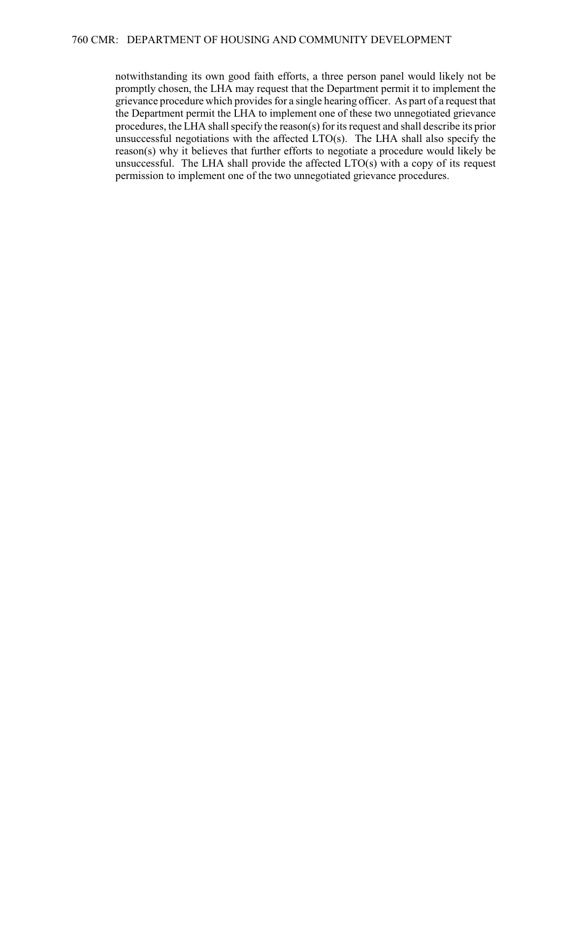notwithstanding its own good faith efforts, a three person panel would likely not be promptly chosen, the LHA may request that the Department permit it to implement the grievance procedure which provides for a single hearing officer. As part of a request that the Department permit the LHA to implement one of these two unnegotiated grievance procedures, the LHA shall specify the reason(s) for its request and shall describe its prior unsuccessful negotiations with the affected LTO(s). The LHA shall also specify the reason(s) why it believes that further efforts to negotiate a procedure would likely be unsuccessful. The LHA shall provide the affected LTO(s) with a copy of its request permission to implement one of the two unnegotiated grievance procedures.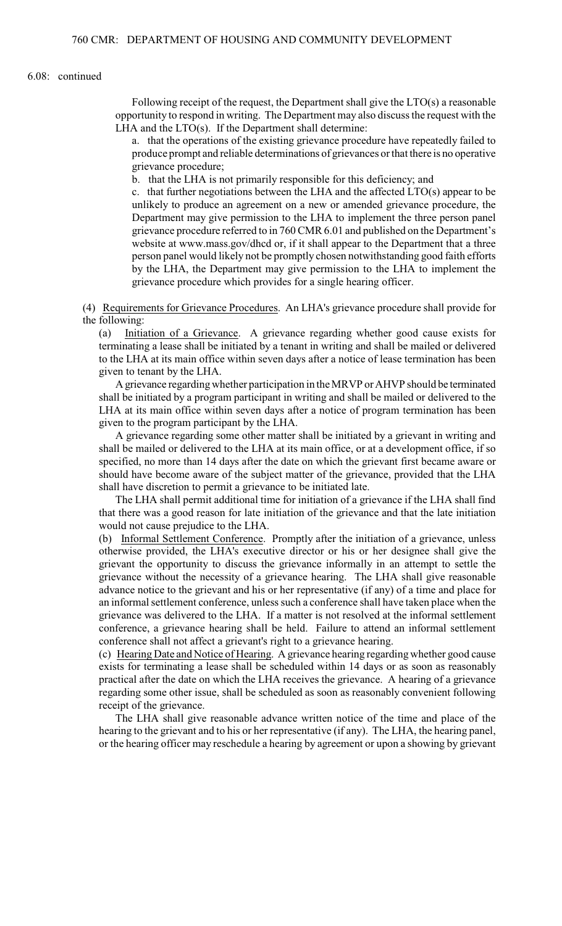### 6.08: continued

Following receipt of the request, the Department shall give the LTO(s) a reasonable opportunity to respond in writing. The Department may also discuss the request with the LHA and the LTO(s). If the Department shall determine:

a. that the operations of the existing grievance procedure have repeatedly failed to produce prompt and reliable determinations of grievances or that there is no operative grievance procedure;

b. that the LHA is not primarily responsible for this deficiency; and

c. that further negotiations between the LHA and the affected LTO(s) appear to be unlikely to produce an agreement on a new or amended grievance procedure, the Department may give permission to the LHA to implement the three person panel grievance procedure referred to in 760 CMR 6.01 and published on the Department's website at www.mass.gov/dhcd or, if it shall appear to the Department that a three person panel would likely not be promptly chosen notwithstanding good faith efforts by the LHA, the Department may give permission to the LHA to implement the grievance procedure which provides for a single hearing officer.

(4) Requirements for Grievance Procedures. An LHA's grievance procedure shall provide for the following:

(a) Initiation of a Grievance. A grievance regarding whether good cause exists for terminating a lease shall be initiated by a tenant in writing and shall be mailed or delivered to the LHA at its main office within seven days after a notice of lease termination has been given to tenant by the LHA.

A grievance regarding whether participation in the MRVP or AHVP should be terminated shall be initiated by a program participant in writing and shall be mailed or delivered to the LHA at its main office within seven days after a notice of program termination has been given to the program participant by the LHA.

A grievance regarding some other matter shall be initiated by a grievant in writing and shall be mailed or delivered to the LHA at its main office, or at a development office, if so specified, no more than 14 days after the date on which the grievant first became aware or should have become aware of the subject matter of the grievance, provided that the LHA shall have discretion to permit a grievance to be initiated late.

The LHA shall permit additional time for initiation of a grievance if the LHA shall find that there was a good reason for late initiation of the grievance and that the late initiation would not cause prejudice to the LHA.

(b) Informal Settlement Conference. Promptly after the initiation of a grievance, unless otherwise provided, the LHA's executive director or his or her designee shall give the grievant the opportunity to discuss the grievance informally in an attempt to settle the grievance without the necessity of a grievance hearing. The LHA shall give reasonable advance notice to the grievant and his or her representative (if any) of a time and place for an informal settlement conference, unless such a conference shall have taken place when the grievance was delivered to the LHA. If a matter is not resolved at the informal settlement conference, a grievance hearing shall be held. Failure to attend an informal settlement conference shall not affect a grievant's right to a grievance hearing.

(c) Hearing Date and Notice of Hearing. A grievance hearing regarding whether good cause exists for terminating a lease shall be scheduled within 14 days or as soon as reasonably practical after the date on which the LHA receives the grievance. A hearing of a grievance regarding some other issue, shall be scheduled as soon as reasonably convenient following receipt of the grievance.

The LHA shall give reasonable advance written notice of the time and place of the hearing to the grievant and to his or her representative (if any). The LHA, the hearing panel, or the hearing officer may reschedule a hearing by agreement or upon a showing by grievant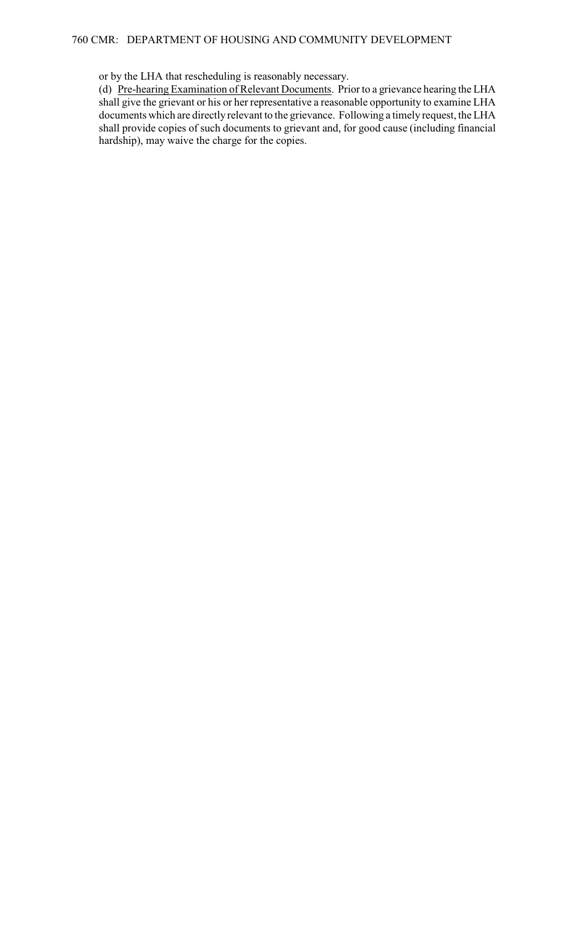or by the LHA that rescheduling is reasonably necessary.

(d) Pre-hearing Examination of Relevant Documents. Prior to a grievance hearing the LHA shall give the grievant or his or her representative a reasonable opportunity to examine LHA documents which are directly relevant to the grievance. Following a timely request, the LHA shall provide copies of such documents to grievant and, for good cause (including financial hardship), may waive the charge for the copies.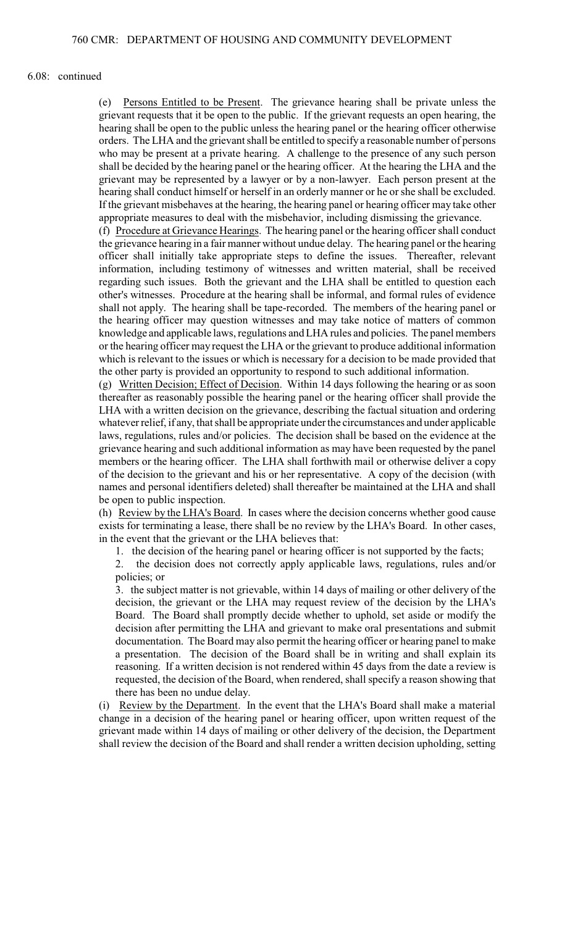#### 6.08: continued

(e) Persons Entitled to be Present. The grievance hearing shall be private unless the grievant requests that it be open to the public. If the grievant requests an open hearing, the hearing shall be open to the public unless the hearing panel or the hearing officer otherwise orders. The LHA and the grievant shall be entitled to specify a reasonable number of persons who may be present at a private hearing. A challenge to the presence of any such person shall be decided by the hearing panel or the hearing officer. At the hearing the LHA and the grievant may be represented by a lawyer or by a non-lawyer. Each person present at the hearing shall conduct himself or herself in an orderly manner or he or she shall be excluded. If the grievant misbehaves at the hearing, the hearing panel or hearing officer may take other appropriate measures to deal with the misbehavior, including dismissing the grievance.

(f) Procedure at Grievance Hearings. The hearing panel or the hearing officer shall conduct the grievance hearing in a fair manner without undue delay. The hearing panel or the hearing officer shall initially take appropriate steps to define the issues. Thereafter, relevant information, including testimony of witnesses and written material, shall be received regarding such issues. Both the grievant and the LHA shall be entitled to question each other's witnesses. Procedure at the hearing shall be informal, and formal rules of evidence shall not apply. The hearing shall be tape-recorded. The members of the hearing panel or the hearing officer may question witnesses and may take notice of matters of common knowledge and applicable laws, regulations and LHA rules and policies. The panel members or the hearing officer may request the LHA or the grievant to produce additional information which is relevant to the issues or which is necessary for a decision to be made provided that the other party is provided an opportunity to respond to such additional information.

(g) Written Decision; Effect of Decision. Within 14 days following the hearing or as soon thereafter as reasonably possible the hearing panel or the hearing officer shall provide the LHA with a written decision on the grievance, describing the factual situation and ordering whatever relief, if any, that shall be appropriate under the circumstances and under applicable laws, regulations, rules and/or policies. The decision shall be based on the evidence at the grievance hearing and such additional information as may have been requested by the panel members or the hearing officer. The LHA shall forthwith mail or otherwise deliver a copy of the decision to the grievant and his or her representative. A copy of the decision (with names and personal identifiers deleted) shall thereafter be maintained at the LHA and shall be open to public inspection.

(h) Review by the LHA's Board. In cases where the decision concerns whether good cause exists for terminating a lease, there shall be no review by the LHA's Board. In other cases, in the event that the grievant or the LHA believes that:

1. the decision of the hearing panel or hearing officer is not supported by the facts;

2. the decision does not correctly apply applicable laws, regulations, rules and/or policies; or

3. the subject matter is not grievable, within 14 days of mailing or other delivery of the decision, the grievant or the LHA may request review of the decision by the LHA's Board. The Board shall promptly decide whether to uphold, set aside or modify the decision after permitting the LHA and grievant to make oral presentations and submit documentation. The Board may also permit the hearing officer or hearing panel to make a presentation. The decision of the Board shall be in writing and shall explain its reasoning. If a written decision is not rendered within 45 days from the date a review is requested, the decision of the Board, when rendered, shall specify a reason showing that there has been no undue delay.

(i) Review by the Department. In the event that the LHA's Board shall make a material change in a decision of the hearing panel or hearing officer, upon written request of the grievant made within 14 days of mailing or other delivery of the decision, the Department shall review the decision of the Board and shall render a written decision upholding, setting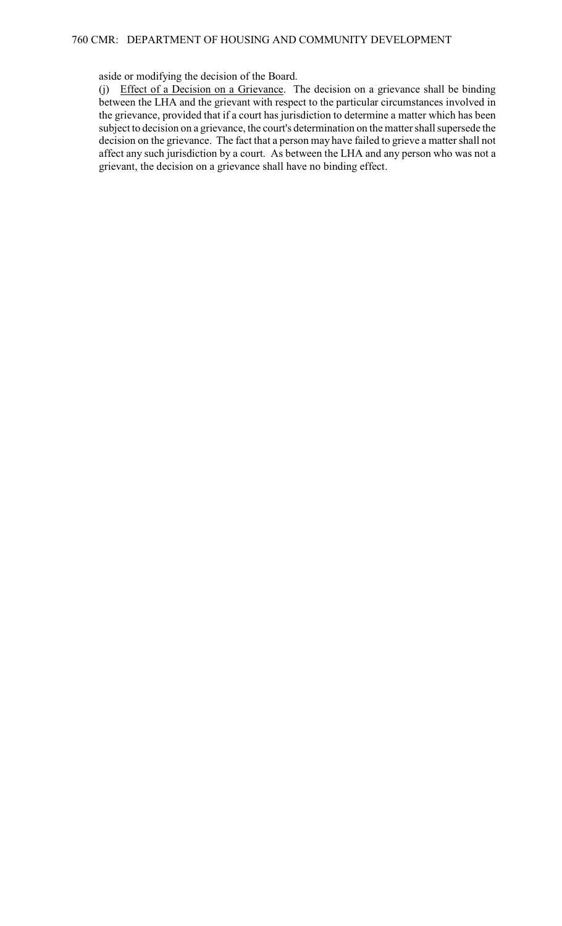## aside or modifying the decision of the Board.

(j) Effect of a Decision on a Grievance. The decision on a grievance shall be binding between the LHA and the grievant with respect to the particular circumstances involved in the grievance, provided that if a court has jurisdiction to determine a matter which has been subject to decision on a grievance, the court's determination on the matter shall supersede the decision on the grievance. The fact that a person may have failed to grieve a matter shall not affect any such jurisdiction by a court. As between the LHA and any person who was not a grievant, the decision on a grievance shall have no binding effect.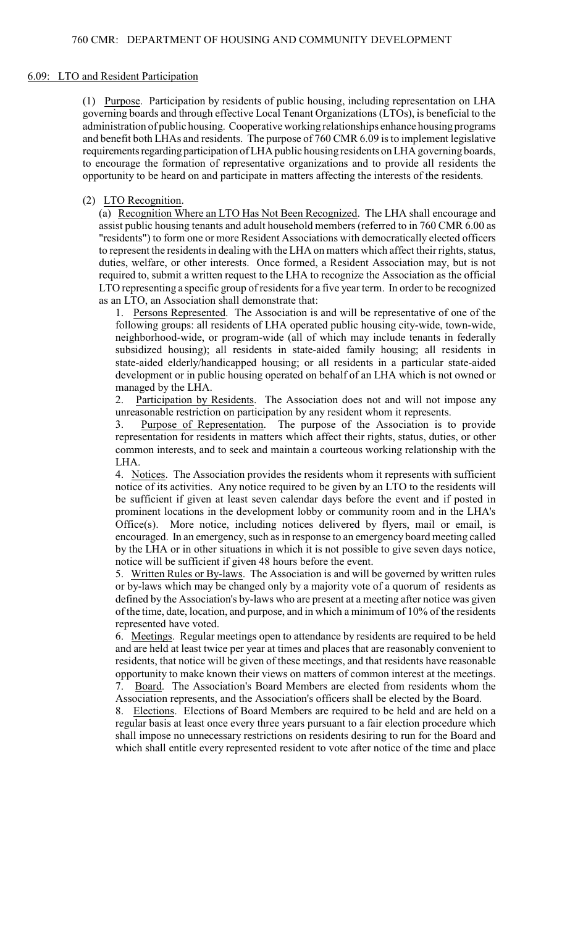#### 6.09: LTO and Resident Participation

(1) Purpose. Participation by residents of public housing, including representation on LHA governing boards and through effective Local Tenant Organizations (LTOs), is beneficial to the administration of public housing. Cooperative working relationships enhance housing programs and benefit both LHAs and residents. The purpose of 760 CMR 6.09 is to implement legislative requirements regarding participation of LHA public housing residents on LHA governing boards, to encourage the formation of representative organizations and to provide all residents the opportunity to be heard on and participate in matters affecting the interests of the residents.

#### (2) LTO Recognition.

(a) Recognition Where an LTO Has Not Been Recognized. The LHA shall encourage and assist public housing tenants and adult household members (referred to in 760 CMR 6.00 as "residents") to form one or more Resident Associations with democratically elected officers to represent the residents in dealing with the LHA on matters which affect their rights, status, duties, welfare, or other interests. Once formed, a Resident Association may, but is not required to, submit a written request to the LHA to recognize the Association as the official LTO representing a specific group of residents for a five year term. In order to be recognized as an LTO, an Association shall demonstrate that:

1. Persons Represented. The Association is and will be representative of one of the following groups: all residents of LHA operated public housing city-wide, town-wide, neighborhood-wide, or program-wide (all of which may include tenants in federally subsidized housing); all residents in state-aided family housing; all residents in state-aided elderly/handicapped housing; or all residents in a particular state-aided development or in public housing operated on behalf of an LHA which is not owned or managed by the LHA.

2. Participation by Residents. The Association does not and will not impose any unreasonable restriction on participation by any resident whom it represents.

3. Purpose of Representation. The purpose of the Association is to provide representation for residents in matters which affect their rights, status, duties, or other common interests, and to seek and maintain a courteous working relationship with the LHA.

4. Notices. The Association provides the residents whom it represents with sufficient notice of its activities. Any notice required to be given by an LTO to the residents will be sufficient if given at least seven calendar days before the event and if posted in prominent locations in the development lobby or community room and in the LHA's Office $(s)$ . More notice, including notices delivered by flyers, mail or email, is encouraged. In an emergency, such as in response to an emergency board meeting called by the LHA or in other situations in which it is not possible to give seven days notice, notice will be sufficient if given 48 hours before the event.

5. Written Rules or By-laws. The Association is and will be governed by written rules or by-laws which may be changed only by a majority vote of a quorum of residents as defined by the Association's by-laws who are present at a meeting after notice was given of the time, date, location, and purpose, and in which a minimum of 10% of the residents represented have voted.

6. Meetings. Regular meetings open to attendance by residents are required to be held and are held at least twice per year at times and places that are reasonably convenient to residents, that notice will be given of these meetings, and that residents have reasonable opportunity to make known their views on matters of common interest at the meetings. 7. Board. The Association's Board Members are elected from residents whom the

Association represents, and the Association's officers shall be elected by the Board.

8. Elections. Elections of Board Members are required to be held and are held on a regular basis at least once every three years pursuant to a fair election procedure which shall impose no unnecessary restrictions on residents desiring to run for the Board and which shall entitle every represented resident to vote after notice of the time and place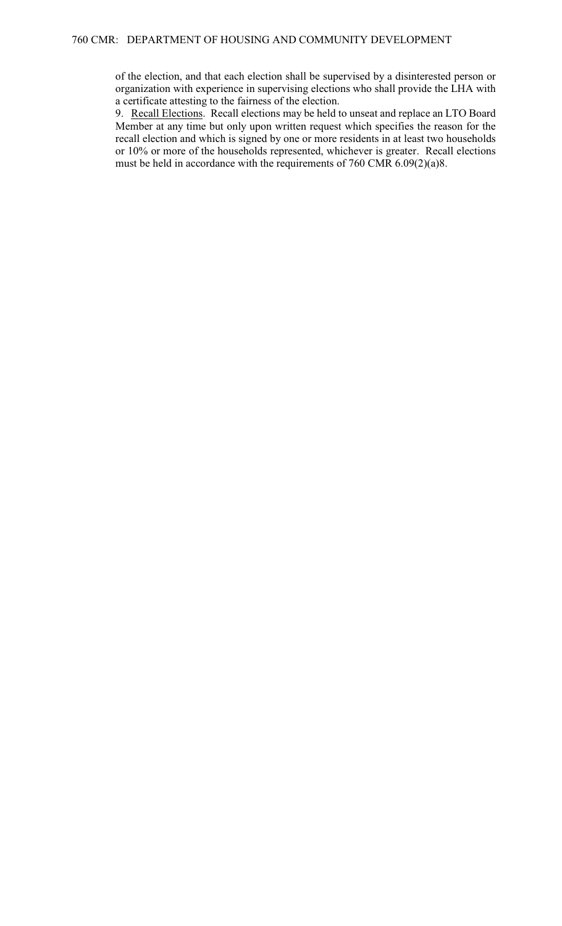of the election, and that each election shall be supervised by a disinterested person or organization with experience in supervising elections who shall provide the LHA with a certificate attesting to the fairness of the election.

9. Recall Elections. Recall elections may be held to unseat and replace an LTO Board Member at any time but only upon written request which specifies the reason for the recall election and which is signed by one or more residents in at least two households or 10% or more of the households represented, whichever is greater. Recall elections must be held in accordance with the requirements of 760 CMR 6.09(2)(a)8.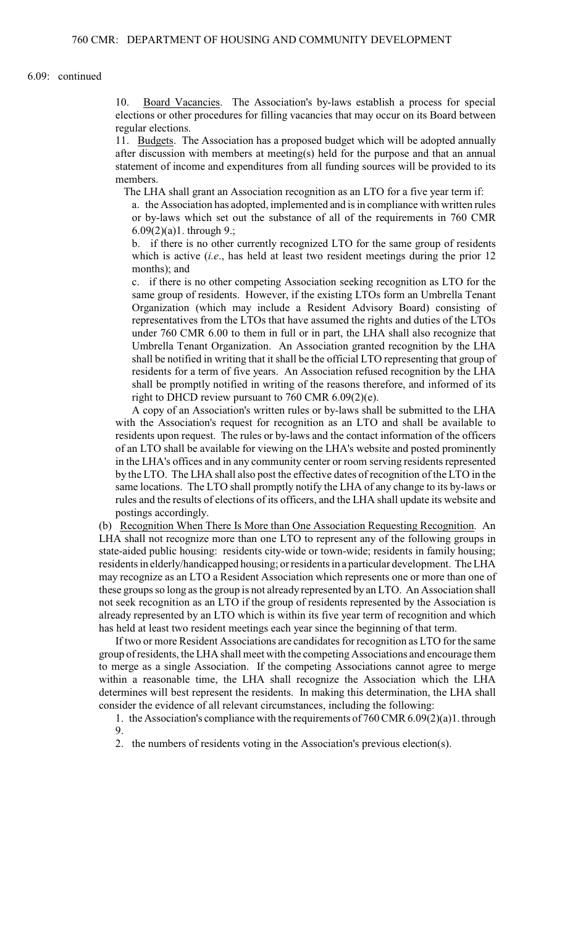### 6.09: continued

10. Board Vacancies. The Association's by-laws establish a process for special elections or other procedures for filling vacancies that may occur on its Board between regular elections.

11. Budgets. The Association has a proposed budget which will be adopted annually after discussion with members at meeting(s) held for the purpose and that an annual statement of income and expenditures from all funding sources will be provided to its members.

The LHA shall grant an Association recognition as an LTO for a five year term if:

a. the Association has adopted, implemented and is in compliance with written rules or by-laws which set out the substance of all of the requirements in 760 CMR  $6.09(2)(a)1.$  through 9.;

b. if there is no other currently recognized LTO for the same group of residents which is active *(i.e., has held at least two resident meetings during the prior 12* months); and

c. if there is no other competing Association seeking recognition as LTO for the same group of residents. However, if the existing LTOs form an Umbrella Tenant Organization (which may include a Resident Advisory Board) consisting of representatives from the LTOs that have assumed the rights and duties of the LTOs under 760 CMR 6.00 to them in full or in part, the LHA shall also recognize that Umbrella Tenant Organization. An Association granted recognition by the LHA shall be notified in writing that it shall be the official LTO representing that group of residents for a term of five years. An Association refused recognition by the LHA shall be promptly notified in writing of the reasons therefore, and informed of its right to DHCD review pursuant to 760 CMR 6.09(2)(e).

A copy of an Association's written rules or by-laws shall be submitted to the LHA with the Association's request for recognition as an LTO and shall be available to residents upon request. The rules or by-laws and the contact information of the officers of an LTO shall be available for viewing on the LHA's website and posted prominently in the LHA's offices and in any community center or room serving residents represented by the LTO. The LHA shall also post the effective dates of recognition of the LTO in the same locations. The LTO shall promptly notify the LHA of any change to its by-laws or rules and the results of elections of its officers, and the LHA shall update its website and postings accordingly.

(b) Recognition When There Is More than One Association Requesting Recognition. An LHA shall not recognize more than one LTO to represent any of the following groups in state-aided public housing: residents city-wide or town-wide; residents in family housing; residents in elderly/handicapped housing; or residents in a particular development. The LHA may recognize as an LTO a Resident Association which represents one or more than one of these groups so long as the group is not already represented by an LTO. An Association shall not seek recognition as an LTO if the group of residents represented by the Association is already represented by an LTO which is within its five year term of recognition and which has held at least two resident meetings each year since the beginning of that term.

If two or more Resident Associations are candidates for recognition as LTO for the same group of residents, the LHA shall meet with the competing Associations and encourage them to merge as a single Association. If the competing Associations cannot agree to merge within a reasonable time, the LHA shall recognize the Association which the LHA determines will best represent the residents. In making this determination, the LHA shall consider the evidence of all relevant circumstances, including the following:

1. the Association's compliance with the requirements of 760 CMR 6.09(2)(a)1. through 9.

2. the numbers of residents voting in the Association's previous election(s).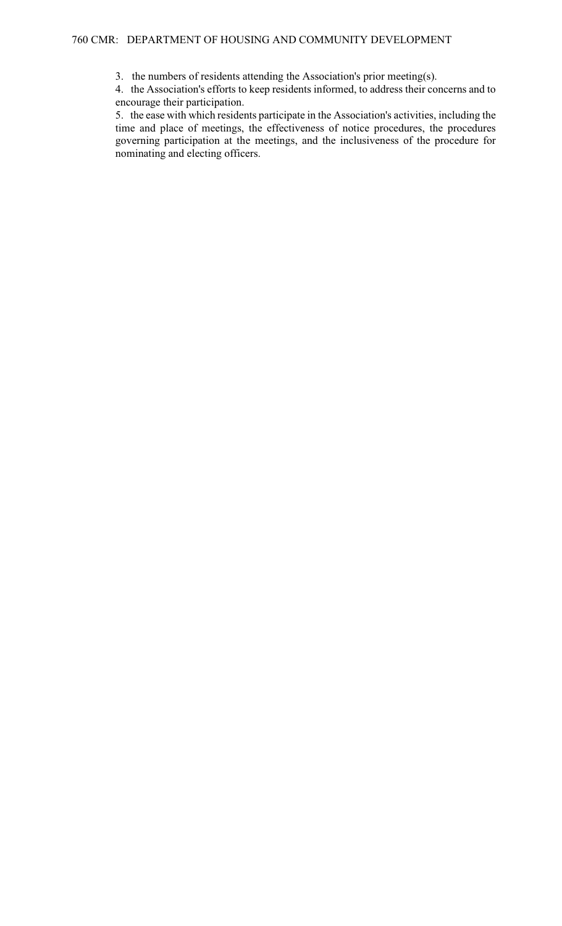3. the numbers of residents attending the Association's prior meeting(s).

4. the Association's efforts to keep residents informed, to address their concerns and to encourage their participation.

5. the ease with which residents participate in the Association's activities, including the time and place of meetings, the effectiveness of notice procedures, the procedures governing participation at the meetings, and the inclusiveness of the procedure for nominating and electing officers.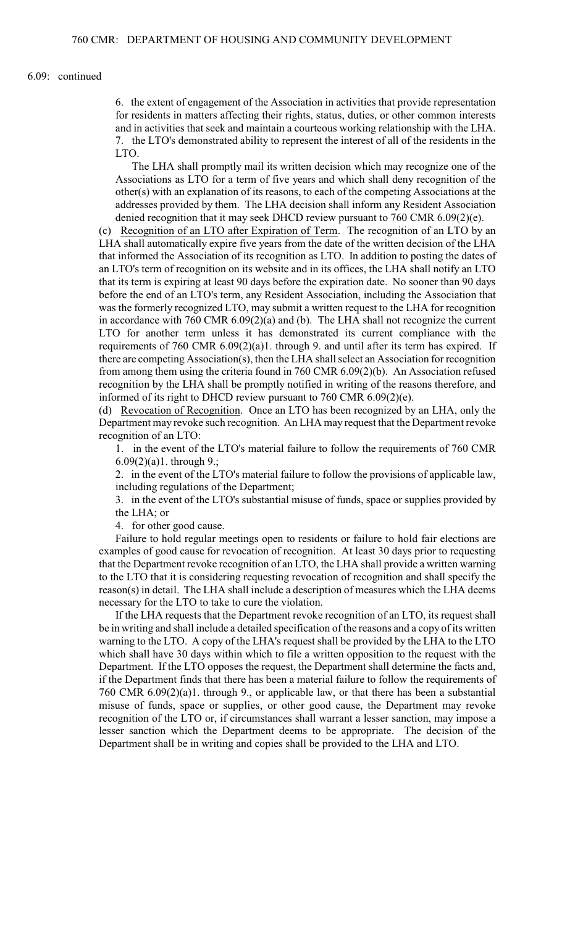### 6.09: continued

6. the extent of engagement of the Association in activities that provide representation for residents in matters affecting their rights, status, duties, or other common interests and in activities that seek and maintain a courteous working relationship with the LHA. 7. the LTO's demonstrated ability to represent the interest of all of the residents in the LTO.

The LHA shall promptly mail its written decision which may recognize one of the Associations as LTO for a term of five years and which shall deny recognition of the other(s) with an explanation of its reasons, to each of the competing Associations at the addresses provided by them. The LHA decision shall inform any Resident Association denied recognition that it may seek DHCD review pursuant to 760 CMR 6.09(2)(e).

(c) Recognition of an LTO after Expiration of Term. The recognition of an LTO by an LHA shall automatically expire five years from the date of the written decision of the LHA that informed the Association of its recognition as LTO. In addition to posting the dates of an LTO's term of recognition on its website and in its offices, the LHA shall notify an LTO that its term is expiring at least 90 days before the expiration date. No sooner than 90 days before the end of an LTO's term, any Resident Association, including the Association that was the formerly recognized LTO, may submit a written request to the LHA for recognition in accordance with 760 CMR 6.09(2)(a) and (b). The LHA shall not recognize the current LTO for another term unless it has demonstrated its current compliance with the requirements of 760 CMR 6.09(2)(a)1. through 9. and until after its term has expired. If there are competing Association(s), then the LHA shall select an Association for recognition from among them using the criteria found in 760 CMR 6.09(2)(b). An Association refused recognition by the LHA shall be promptly notified in writing of the reasons therefore, and informed of its right to DHCD review pursuant to 760 CMR 6.09(2)(e).

(d) Revocation of Recognition. Once an LTO has been recognized by an LHA, only the Department may revoke such recognition. An LHA may request that the Department revoke recognition of an LTO:

1. in the event of the LTO's material failure to follow the requirements of 760 CMR  $6.09(2)(a)1.$  through 9.;

2. in the event of the LTO's material failure to follow the provisions of applicable law, including regulations of the Department;

3. in the event of the LTO's substantial misuse of funds, space or supplies provided by the LHA; or

4. for other good cause.

Failure to hold regular meetings open to residents or failure to hold fair elections are examples of good cause for revocation of recognition. At least 30 days prior to requesting that the Department revoke recognition of an LTO, the LHA shall provide a written warning to the LTO that it is considering requesting revocation of recognition and shall specify the reason(s) in detail. The LHA shall include a description of measures which the LHA deems necessary for the LTO to take to cure the violation.

If the LHA requests that the Department revoke recognition of an LTO, its request shall be in writing and shall include a detailed specification of the reasons and a copy of its written warning to the LTO. A copy of the LHA's request shall be provided by the LHA to the LTO which shall have 30 days within which to file a written opposition to the request with the Department. If the LTO opposes the request, the Department shall determine the facts and, if the Department finds that there has been a material failure to follow the requirements of 760 CMR 6.09(2)(a)1. through 9., or applicable law, or that there has been a substantial misuse of funds, space or supplies, or other good cause, the Department may revoke recognition of the LTO or, if circumstances shall warrant a lesser sanction, may impose a lesser sanction which the Department deems to be appropriate. The decision of the Department shall be in writing and copies shall be provided to the LHA and LTO.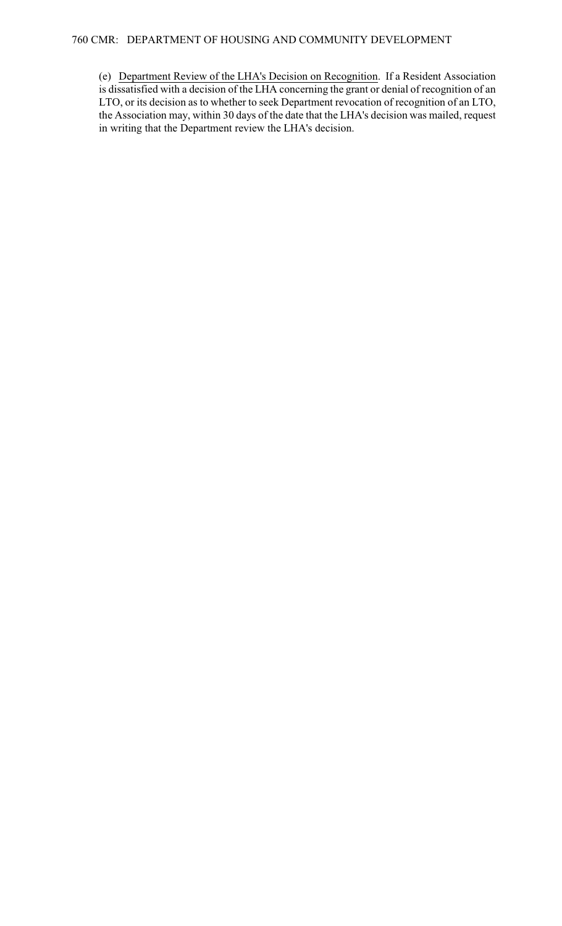(e) Department Review of the LHA's Decision on Recognition. If a Resident Association is dissatisfied with a decision of the LHA concerning the grant or denial of recognition of an LTO, or its decision as to whether to seek Department revocation of recognition of an LTO, the Association may, within 30 days of the date that the LHA's decision was mailed, request in writing that the Department review the LHA's decision.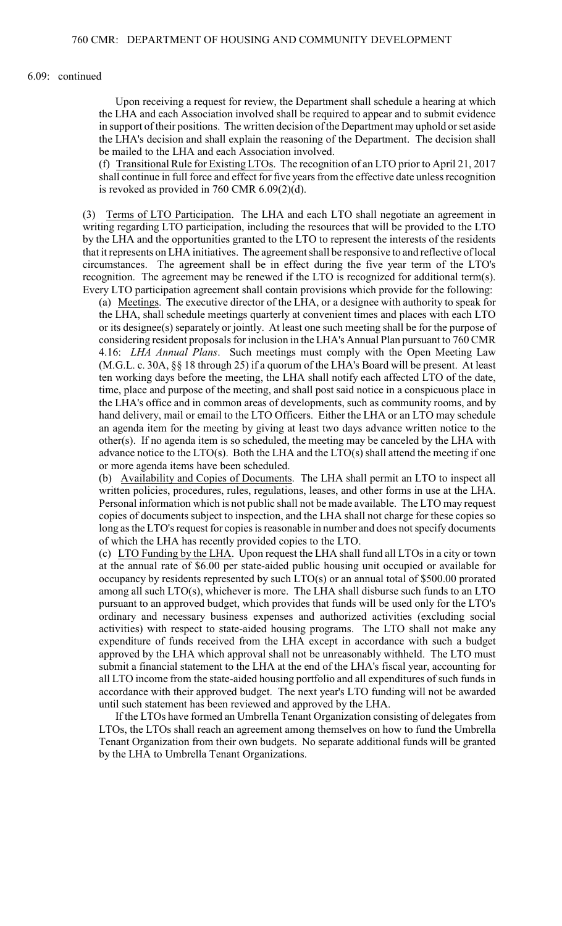#### 6.09: continued

Upon receiving a request for review, the Department shall schedule a hearing at which the LHA and each Association involved shall be required to appear and to submit evidence in support of their positions. The written decision of the Department may uphold or set aside the LHA's decision and shall explain the reasoning of the Department. The decision shall be mailed to the LHA and each Association involved.

(f) Transitional Rule for Existing LTOs. The recognition of an LTO prior to April 21, 2017 shall continue in full force and effect for five years from the effective date unless recognition is revoked as provided in 760 CMR 6.09(2)(d).

(3) Terms of LTO Participation. The LHA and each LTO shall negotiate an agreement in writing regarding LTO participation, including the resources that will be provided to the LTO by the LHA and the opportunities granted to the LTO to represent the interests of the residents that it represents on LHA initiatives. The agreement shall be responsive to and reflective of local circumstances. The agreement shall be in effect during the five year term of the LTO's recognition. The agreement may be renewed if the LTO is recognized for additional term(s). Every LTO participation agreement shall contain provisions which provide for the following:

(a) Meetings. The executive director of the LHA, or a designee with authority to speak for the LHA, shall schedule meetings quarterly at convenient times and places with each LTO or its designee(s) separately or jointly. At least one such meeting shall be for the purpose of considering resident proposals for inclusion in the LHA's Annual Plan pursuant to 760 CMR 4.16: *LHA Annual Plans*. Such meetings must comply with the Open Meeting Law (M.G.L. c. 30A, §§ 18 through 25) if a quorum of the LHA's Board will be present. At least ten working days before the meeting, the LHA shall notify each affected LTO of the date, time, place and purpose of the meeting, and shall post said notice in a conspicuous place in the LHA's office and in common areas of developments, such as community rooms, and by hand delivery, mail or email to the LTO Officers. Either the LHA or an LTO may schedule an agenda item for the meeting by giving at least two days advance written notice to the other(s). If no agenda item is so scheduled, the meeting may be canceled by the LHA with advance notice to the LTO(s). Both the LHA and the LTO(s) shall attend the meeting if one or more agenda items have been scheduled.

(b) Availability and Copies of Documents. The LHA shall permit an LTO to inspect all written policies, procedures, rules, regulations, leases, and other forms in use at the LHA. Personal information which is not public shall not be made available. The LTO may request copies of documents subject to inspection, and the LHA shall not charge for these copies so long as the LTO's request for copies is reasonable in number and does not specify documents of which the LHA has recently provided copies to the LTO.

(c) LTO Funding by the LHA. Upon request the LHA shall fund all LTOs in a city or town at the annual rate of \$6.00 per state-aided public housing unit occupied or available for occupancy by residents represented by such LTO(s) or an annual total of \$500.00 prorated among all such LTO(s), whichever is more. The LHA shall disburse such funds to an LTO pursuant to an approved budget, which provides that funds will be used only for the LTO's ordinary and necessary business expenses and authorized activities (excluding social activities) with respect to state-aided housing programs. The LTO shall not make any expenditure of funds received from the LHA except in accordance with such a budget approved by the LHA which approval shall not be unreasonably withheld. The LTO must submit a financial statement to the LHA at the end of the LHA's fiscal year, accounting for all LTO income from the state-aided housing portfolio and all expenditures of such funds in accordance with their approved budget. The next year's LTO funding will not be awarded until such statement has been reviewed and approved by the LHA.

If the LTOs have formed an Umbrella Tenant Organization consisting of delegates from LTOs, the LTOs shall reach an agreement among themselves on how to fund the Umbrella Tenant Organization from their own budgets. No separate additional funds will be granted by the LHA to Umbrella Tenant Organizations.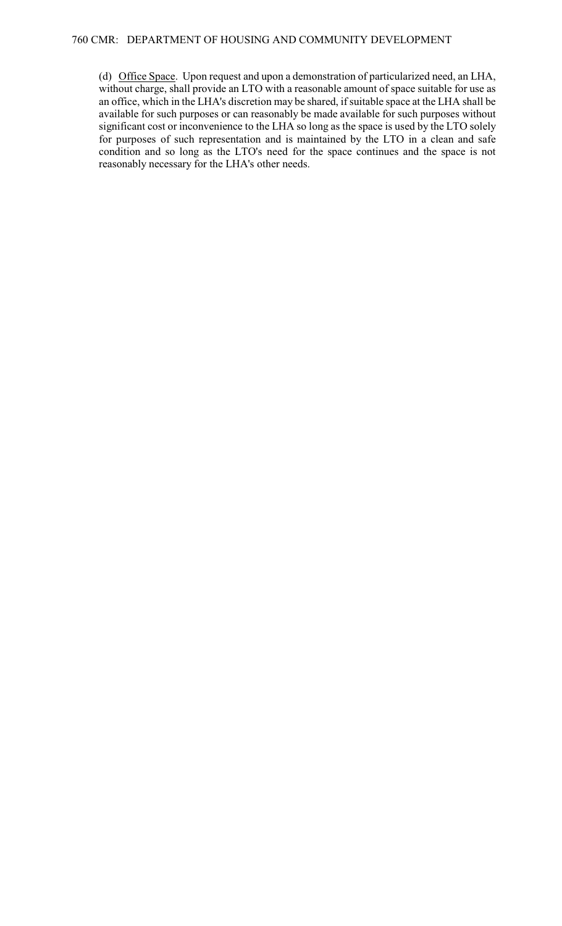(d) Office Space. Upon request and upon a demonstration of particularized need, an LHA, without charge, shall provide an LTO with a reasonable amount of space suitable for use as an office, which in the LHA's discretion may be shared, if suitable space at the LHA shall be available for such purposes or can reasonably be made available for such purposes without significant cost or inconvenience to the LHA so long as the space is used by the LTO solely for purposes of such representation and is maintained by the LTO in a clean and safe condition and so long as the LTO's need for the space continues and the space is not reasonably necessary for the LHA's other needs.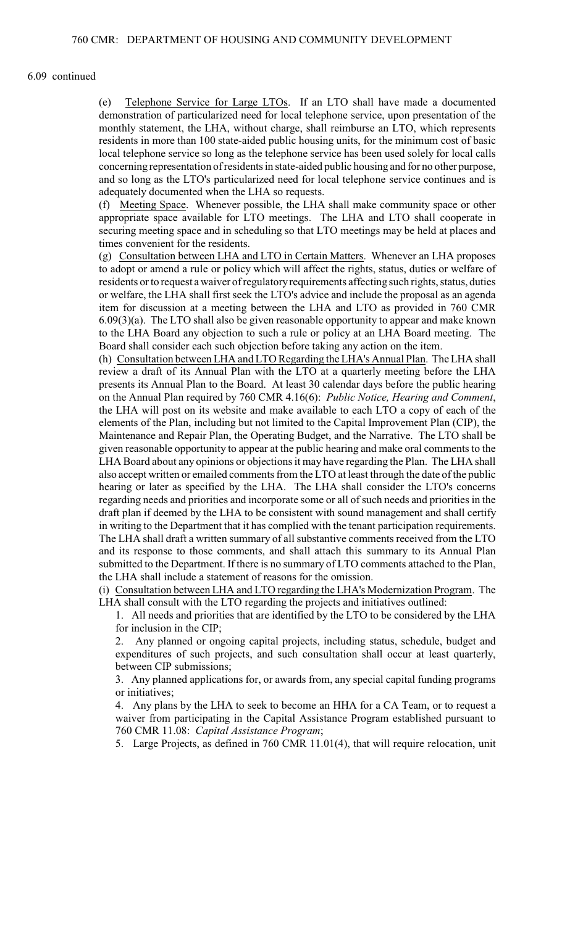#### 6.09 continued

(e) Telephone Service for Large LTOs. If an LTO shall have made a documented demonstration of particularized need for local telephone service, upon presentation of the monthly statement, the LHA, without charge, shall reimburse an LTO, which represents residents in more than 100 state-aided public housing units, for the minimum cost of basic local telephone service so long as the telephone service has been used solely for local calls concerning representation of residents in state-aided public housing and for no other purpose, and so long as the LTO's particularized need for local telephone service continues and is adequately documented when the LHA so requests.

(f) Meeting Space. Whenever possible, the LHA shall make community space or other appropriate space available for LTO meetings. The LHA and LTO shall cooperate in securing meeting space and in scheduling so that LTO meetings may be held at places and times convenient for the residents.

(g) Consultation between LHA and LTO in Certain Matters. Whenever an LHA proposes to adopt or amend a rule or policy which will affect the rights, status, duties or welfare of residents or to request a waiver of regulatory requirements affecting such rights, status, duties or welfare, the LHA shall first seek the LTO's advice and include the proposal as an agenda item for discussion at a meeting between the LHA and LTO as provided in 760 CMR 6.09(3)(a). The LTO shall also be given reasonable opportunity to appear and make known to the LHA Board any objection to such a rule or policy at an LHA Board meeting. The Board shall consider each such objection before taking any action on the item.

(h) Consultation between LHA and LTO Regarding the LHA's Annual Plan. The LHA shall review a draft of its Annual Plan with the LTO at a quarterly meeting before the LHA presents its Annual Plan to the Board. At least 30 calendar days before the public hearing on the Annual Plan required by 760 CMR 4.16(6): *Public Notice, Hearing and Comment*, the LHA will post on its website and make available to each LTO a copy of each of the elements of the Plan, including but not limited to the Capital Improvement Plan (CIP), the Maintenance and Repair Plan, the Operating Budget, and the Narrative. The LTO shall be given reasonable opportunity to appear at the public hearing and make oral comments to the LHA Board about any opinions or objections it may have regarding the Plan. The LHA shall also accept written or emailed comments from the LTO at least through the date of the public hearing or later as specified by the LHA. The LHA shall consider the LTO's concerns regarding needs and priorities and incorporate some or all of such needs and priorities in the draft plan if deemed by the LHA to be consistent with sound management and shall certify in writing to the Department that it has complied with the tenant participation requirements. The LHA shall draft a written summary of all substantive comments received from the LTO and its response to those comments, and shall attach this summary to its Annual Plan submitted to the Department. If there is no summary of LTO comments attached to the Plan, the LHA shall include a statement of reasons for the omission.

(i) Consultation between LHA and LTO regarding the LHA's Modernization Program. The LHA shall consult with the LTO regarding the projects and initiatives outlined:

1. All needs and priorities that are identified by the LTO to be considered by the LHA for inclusion in the CIP;

2. Any planned or ongoing capital projects, including status, schedule, budget and expenditures of such projects, and such consultation shall occur at least quarterly, between CIP submissions;

3. Any planned applications for, or awards from, any special capital funding programs or initiatives;

4. Any plans by the LHA to seek to become an HHA for a CA Team, or to request a waiver from participating in the Capital Assistance Program established pursuant to 760 CMR 11.08: *Capital Assistance Program*;

5. Large Projects, as defined in 760 CMR 11.01(4), that will require relocation, unit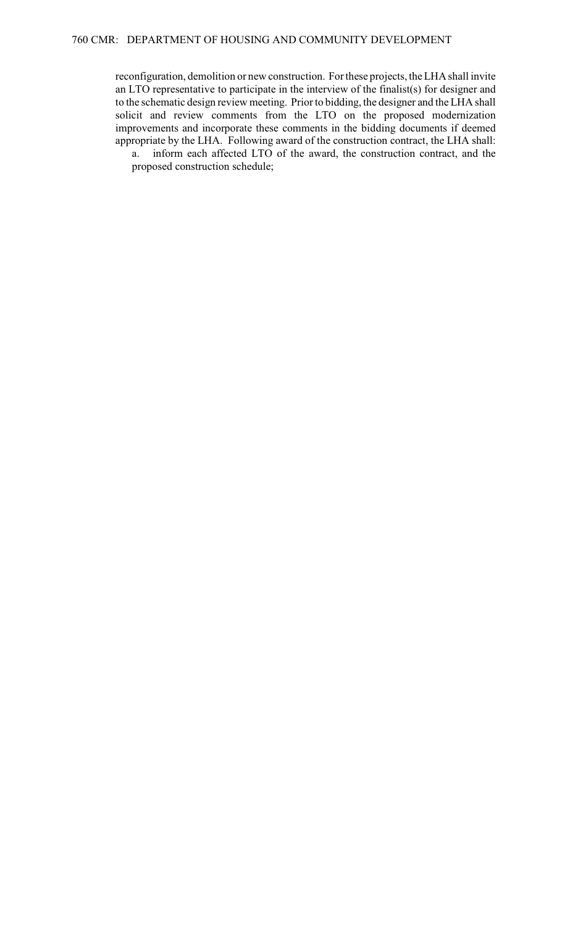reconfiguration, demolition or new construction. For these projects, the LHA shall invite an LTO representative to participate in the interview of the finalist(s) for designer and to the schematic design review meeting. Priorto bidding, the designer and the LHA shall solicit and review comments from the LTO on the proposed modernization improvements and incorporate these comments in the bidding documents if deemed appropriate by the LHA. Following award of the construction contract, the LHA shall: a. inform each affected LTO of the award, the construction contract, and the

proposed construction schedule;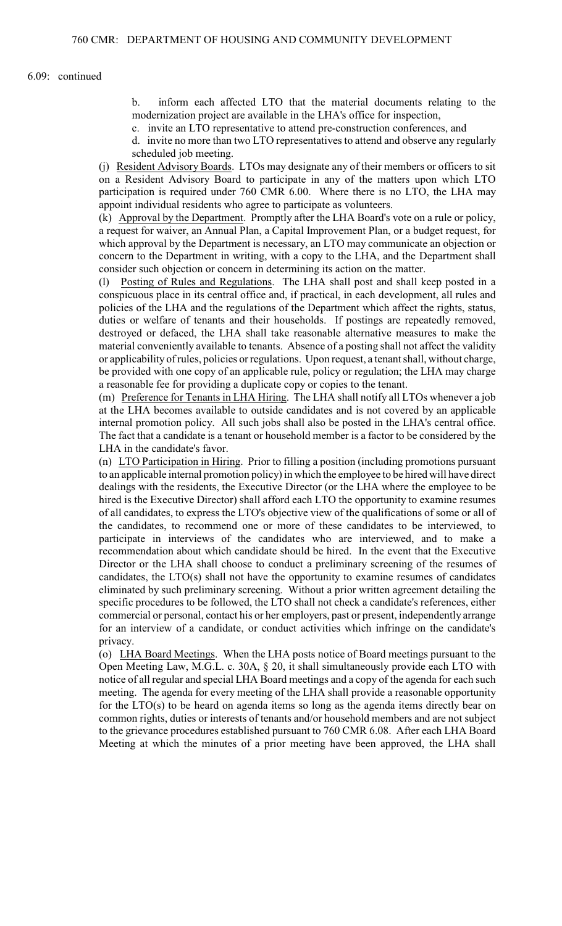b. inform each affected LTO that the material documents relating to the modernization project are available in the LHA's office for inspection,

c. invite an LTO representative to attend pre-construction conferences, and

d. invite no more than two LTO representatives to attend and observe any regularly scheduled job meeting.

(j) Resident Advisory Boards. LTOs may designate any of their members or officers to sit on a Resident Advisory Board to participate in any of the matters upon which LTO participation is required under 760 CMR 6.00. Where there is no LTO, the LHA may appoint individual residents who agree to participate as volunteers.

(k) Approval by the Department. Promptly after the LHA Board's vote on a rule or policy, a request for waiver, an Annual Plan, a Capital Improvement Plan, or a budget request, for which approval by the Department is necessary, an LTO may communicate an objection or concern to the Department in writing, with a copy to the LHA, and the Department shall consider such objection or concern in determining its action on the matter.

(l) Posting of Rules and Regulations. The LHA shall post and shall keep posted in a conspicuous place in its central office and, if practical, in each development, all rules and policies of the LHA and the regulations of the Department which affect the rights, status, duties or welfare of tenants and their households. If postings are repeatedly removed, destroyed or defaced, the LHA shall take reasonable alternative measures to make the material conveniently available to tenants. Absence of a posting shall not affect the validity or applicability of rules, policies or regulations. Upon request, a tenant shall, without charge, be provided with one copy of an applicable rule, policy or regulation; the LHA may charge a reasonable fee for providing a duplicate copy or copies to the tenant.

(m) Preference for Tenants in LHA Hiring. The LHA shall notify all LTOs whenever a job at the LHA becomes available to outside candidates and is not covered by an applicable internal promotion policy. All such jobs shall also be posted in the LHA's central office. The fact that a candidate is a tenant or household member is a factor to be considered by the LHA in the candidate's favor.

(n) LTO Participation in Hiring. Prior to filling a position (including promotions pursuant to an applicable internal promotion policy) in which the employee to be hired will have direct dealings with the residents, the Executive Director (or the LHA where the employee to be hired is the Executive Director) shall afford each LTO the opportunity to examine resumes of all candidates, to express the LTO's objective view of the qualifications of some or all of the candidates, to recommend one or more of these candidates to be interviewed, to participate in interviews of the candidates who are interviewed, and to make a recommendation about which candidate should be hired. In the event that the Executive Director or the LHA shall choose to conduct a preliminary screening of the resumes of candidates, the LTO(s) shall not have the opportunity to examine resumes of candidates eliminated by such preliminary screening. Without a prior written agreement detailing the specific procedures to be followed, the LTO shall not check a candidate's references, either commercial or personal, contact his or her employers, past or present, independently arrange for an interview of a candidate, or conduct activities which infringe on the candidate's privacy.

(o) LHA Board Meetings. When the LHA posts notice of Board meetings pursuant to the Open Meeting Law, M.G.L. c. 30A, § 20, it shall simultaneously provide each LTO with notice of all regular and special LHA Board meetings and a copy of the agenda for each such meeting. The agenda for every meeting of the LHA shall provide a reasonable opportunity for the LTO(s) to be heard on agenda items so long as the agenda items directly bear on common rights, duties or interests of tenants and/or household members and are not subject to the grievance procedures established pursuant to 760 CMR 6.08. After each LHA Board Meeting at which the minutes of a prior meeting have been approved, the LHA shall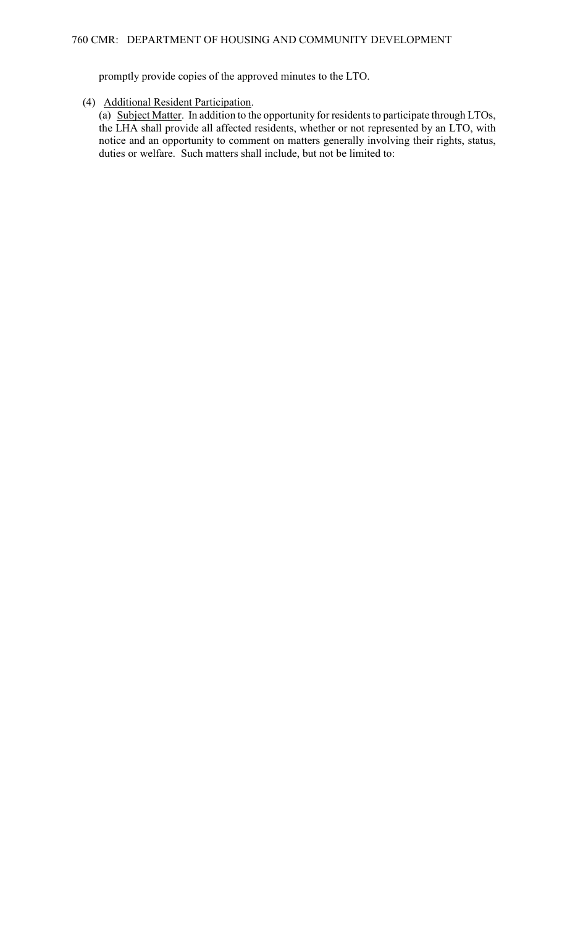promptly provide copies of the approved minutes to the LTO.

## (4) Additional Resident Participation.

(a) Subject Matter. In addition to the opportunity for residents to participate through LTOs, the LHA shall provide all affected residents, whether or not represented by an LTO, with notice and an opportunity to comment on matters generally involving their rights, status, duties or welfare. Such matters shall include, but not be limited to: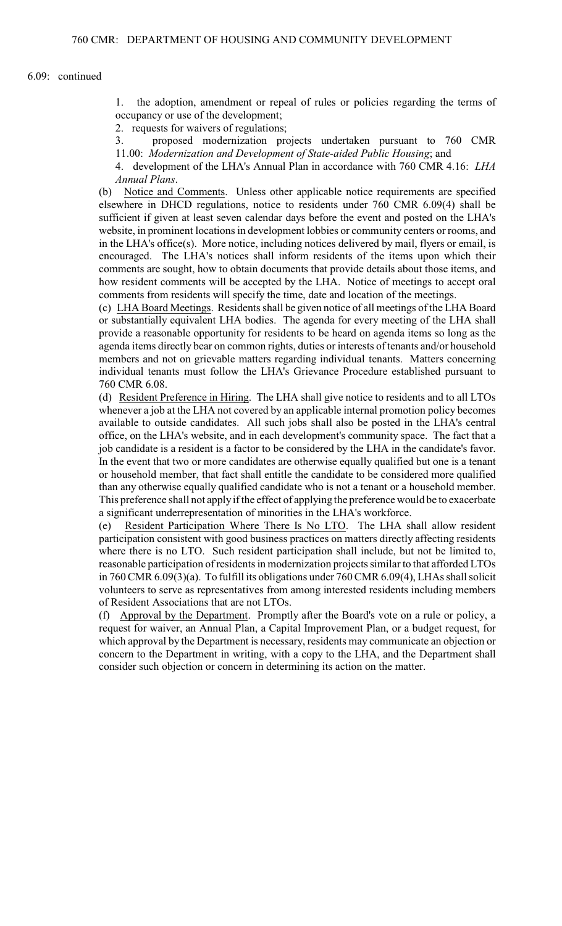6.09: continued

1. the adoption, amendment or repeal of rules or policies regarding the terms of occupancy or use of the development;

2. requests for waivers of regulations;

3. proposed modernization projects undertaken pursuant to 760 CMR 11.00: *Modernization and Development of State-aided Public Housing*; and

4. development of the LHA's Annual Plan in accordance with 760 CMR 4.16: *LHA Annual Plans*.

(b) Notice and Comments. Unless other applicable notice requirements are specified elsewhere in DHCD regulations, notice to residents under 760 CMR 6.09(4) shall be sufficient if given at least seven calendar days before the event and posted on the LHA's website, in prominent locations in development lobbies or community centers or rooms, and in the LHA's office(s). More notice, including notices delivered by mail, flyers or email, is encouraged. The LHA's notices shall inform residents of the items upon which their comments are sought, how to obtain documents that provide details about those items, and how resident comments will be accepted by the LHA. Notice of meetings to accept oral comments from residents will specify the time, date and location of the meetings.

(c) LHA Board Meetings. Residents shall be given notice of all meetings of the LHA Board or substantially equivalent LHA bodies. The agenda for every meeting of the LHA shall provide a reasonable opportunity for residents to be heard on agenda items so long as the agenda items directly bear on common rights, duties or interests of tenants and/or household members and not on grievable matters regarding individual tenants. Matters concerning individual tenants must follow the LHA's Grievance Procedure established pursuant to 760 CMR 6.08.

(d) Resident Preference in Hiring. The LHA shall give notice to residents and to all LTOs whenever a job at the LHA not covered by an applicable internal promotion policy becomes available to outside candidates. All such jobs shall also be posted in the LHA's central office, on the LHA's website, and in each development's community space. The fact that a job candidate is a resident is a factor to be considered by the LHA in the candidate's favor. In the event that two or more candidates are otherwise equally qualified but one is a tenant or household member, that fact shall entitle the candidate to be considered more qualified than any otherwise equally qualified candidate who is not a tenant or a household member. This preference shall not apply if the effect of applying the preference would be to exacerbate a significant underrepresentation of minorities in the LHA's workforce.

(e) Resident Participation Where There Is No LTO. The LHA shall allow resident participation consistent with good business practices on matters directly affecting residents where there is no LTO. Such resident participation shall include, but not be limited to, reasonable participation of residents in modernization projects similar to that afforded LTOs in 760 CMR 6.09(3)(a). To fulfill its obligations under 760 CMR 6.09(4), LHAs shall solicit volunteers to serve as representatives from among interested residents including members of Resident Associations that are not LTOs.

(f) Approval by the Department. Promptly after the Board's vote on a rule or policy, a request for waiver, an Annual Plan, a Capital Improvement Plan, or a budget request, for which approval by the Department is necessary, residents may communicate an objection or concern to the Department in writing, with a copy to the LHA, and the Department shall consider such objection or concern in determining its action on the matter.